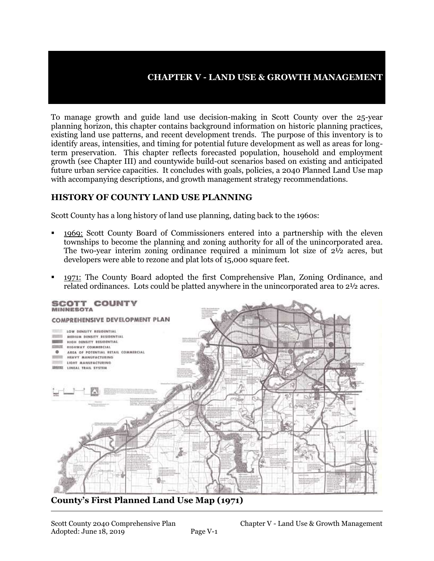# **CHAPTER V - LAND USE & GROWTH MANAGEMENT**

To manage growth and guide land use decision-making in Scott County over the 25-year planning horizon, this chapter contains background information on historic planning practices, existing land use patterns, and recent development trends. The purpose of this inventory is to identify areas, intensities, and timing for potential future development as well as areas for longterm preservation. This chapter reflects forecasted population, household and employment growth (see Chapter III) and countywide build-out scenarios based on existing and anticipated future urban service capacities. It concludes with goals, policies, a 2040 Planned Land Use map with accompanying descriptions, and growth management strategy recommendations.

### **HISTORY OF COUNTY LAND USE PLANNING**

Scott County has a long history of land use planning, dating back to the 1960s:

- 1969: Scott County Board of Commissioners entered into a partnership with the eleven townships to become the planning and zoning authority for all of the unincorporated area. The two-year interim zoning ordinance required a minimum lot size of  $2\frac{1}{2}$  acres, but developers were able to rezone and plat lots of 15,000 square feet.
- 1971: The County Board adopted the first Comprehensive Plan, Zoning Ordinance, and related ordinances. Lots could be platted anywhere in the unincorporated area to 2½ acres.



**County's First Planned Land Use Map (1971)**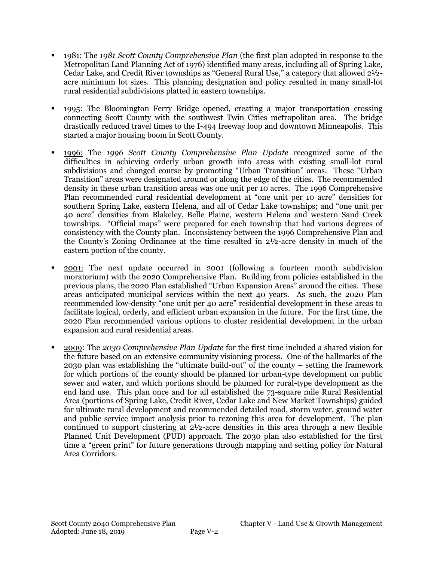- 1981: The *1981 Scott County Comprehensive Plan* (the first plan adopted in response to the Metropolitan Land Planning Act of 1976) identified many areas, including all of Spring Lake, Cedar Lake, and Credit River townships as "General Rural Use," a category that allowed 2½ acre minimum lot sizes. This planning designation and policy resulted in many small-lot rural residential subdivisions platted in eastern townships.
- 1995: The Bloomington Ferry Bridge opened, creating a major transportation crossing connecting Scott County with the southwest Twin Cities metropolitan area. The bridge drastically reduced travel times to the I-494 freeway loop and downtown Minneapolis. This started a major housing boom in Scott County.
- 1996: The *1996 Scott County Comprehensive Plan Update* recognized some of the difficulties in achieving orderly urban growth into areas with existing small-lot rural subdivisions and changed course by promoting "Urban Transition" areas. These "Urban Transition" areas were designated around or along the edge of the cities. The recommended density in these urban transition areas was one unit per 10 acres. The 1996 Comprehensive Plan recommended rural residential development at "one unit per 10 acre" densities for southern Spring Lake, eastern Helena, and all of Cedar Lake townships; and "one unit per 40 acre" densities from Blakeley, Belle Plaine, western Helena and western Sand Creek townships. "Official maps" were prepared for each township that had various degrees of consistency with the County plan. Inconsistency between the 1996 Comprehensive Plan and the County's Zoning Ordinance at the time resulted in 2½-acre density in much of the eastern portion of the county.
- 2001: The next update occurred in 2001 (following a fourteen month subdivision moratorium) with the 2020 Comprehensive Plan. Building from policies established in the previous plans, the 2020 Plan established "Urban Expansion Areas" around the cities. These areas anticipated municipal services within the next 40 years. As such, the 2020 Plan recommended low-density "one unit per 40 acre" residential development in these areas to facilitate logical, orderly, and efficient urban expansion in the future. For the first time, the 2020 Plan recommended various options to cluster residential development in the urban expansion and rural residential areas.
- 2009: The *2030 Comprehensive Plan Update* for the first time included a shared vision for the future based on an extensive community visioning process. One of the hallmarks of the 2030 plan was establishing the "ultimate build-out" of the county – setting the framework for which portions of the county should be planned for urban-type development on public sewer and water, and which portions should be planned for rural-type development as the end land use. This plan once and for all established the 73-square mile Rural Residential Area (portions of Spring Lake, Credit River, Cedar Lake and New Market Townships) guided for ultimate rural development and recommended detailed road, storm water, ground water and public service impact analysis prior to rezoning this area for development. The plan continued to support clustering at 2½-acre densities in this area through a new flexible Planned Unit Development (PUD) approach. The 2030 plan also established for the first time a "green print" for future generations through mapping and setting policy for Natural Area Corridors.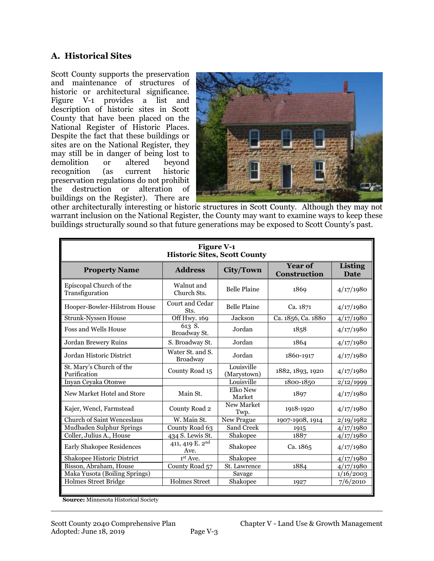### **A. Historical Sites**

Scott County supports the preservation and maintenance of structures of historic or architectural significance. Figure V-1 provides a list and description of historic sites in Scott County that have been placed on the National Register of Historic Places. Despite the fact that these buildings or sites are on the National Register, they may still be in danger of being lost to<br>demolition or altered beyond demolition or altered recognition (as current historic preservation regulations do not prohibit the destruction or alteration of buildings on the Register). There are



other architecturally interesting or historic structures in Scott County. Although they may not warrant inclusion on the National Register, the County may want to examine ways to keep these buildings structurally sound so that future generations may be exposed to Scott County's past.

| <b>Figure V-1</b><br><b>Historic Sites, Scott County</b> |                                     |                           |                                       |                        |
|----------------------------------------------------------|-------------------------------------|---------------------------|---------------------------------------|------------------------|
| <b>Property Name</b>                                     | <b>Address</b>                      | <b>City/Town</b>          | <b>Year of</b><br><b>Construction</b> | Listing<br><b>Date</b> |
| Episcopal Church of the<br>Transfiguration               | Walnut and<br>Church Sts.           | <b>Belle Plaine</b>       | 1869                                  | 4/17/1980              |
| Hooper-Bowler-Hilstrom House                             | Court and Cedar<br>Sts.             | <b>Belle Plaine</b>       | Ca. 1871                              | 4/17/1980              |
| Strunk-Nyssen House                                      | Off Hwy. 169                        | Jackson                   | Ca. 1856, Ca. 1880                    | 4/17/1980              |
| <b>Foss and Wells House</b>                              | 613 S.<br>Broadway St.              | Jordan                    | 1858                                  | 4/17/1980              |
| <b>Jordan Brewery Ruins</b>                              | S. Broadway St.                     | Jordan                    | 1864                                  | 4/17/1980              |
| Jordan Historic District                                 | Water St. and S.<br><b>Broadway</b> | Jordan                    | 1860-1917                             | 4/17/1980              |
| St. Mary's Church of the<br>Purification                 | County Road 15                      | Louisville<br>(Marystown) | 1882, 1893, 1920                      | 4/17/1980              |
| Inyan Ceyaka Otonwe                                      |                                     | Louisville                | 1800-1850                             | 2/12/1999              |
| New Market Hotel and Store                               | Main St.                            | Elko New<br>Market        | 1897                                  | 4/17/1980              |
| Kajer, Wencl, Farmstead                                  | County Road 2                       | New Market<br>Twp.        | 1918-1920                             | 4/17/1980              |
| <b>Church of Saint Wenceslaus</b>                        | W. Main St.                         | New Prague                | 1907-1908, 1914                       | 2/19/1982              |
| Mudbaden Sulphur Springs                                 | County Road 63                      | Sand Creek                | 1915                                  | 4/17/1980              |
| Coller, Julius A., House                                 | 434 S. Lewis St.                    | Shakopee                  | 1887                                  | 4/17/1980              |
| <b>Early Shakopee Residences</b>                         | 411, 419 E. $2^{nd}$<br>Ave.        | Shakopee                  | Ca. 1865                              | 4/17/1980              |
| Shakopee Historic District                               | $1st$ Ave.                          | Shakopee                  |                                       | 4/17/1980              |
| Bisson, Abraham, House                                   | County Road 57                      | St. Lawrence              | 1884                                  | 4/17/1980              |
| Maka Yusota (Boiling Springs)                            |                                     | Savage                    |                                       | 1/16/2003              |
| Holmes Street Bridge                                     | <b>Holmes Street</b>                | Shakopee                  | 1927                                  | 7/6/2010               |
|                                                          |                                     |                           |                                       |                        |

 **Source:** Minnesota Historical Society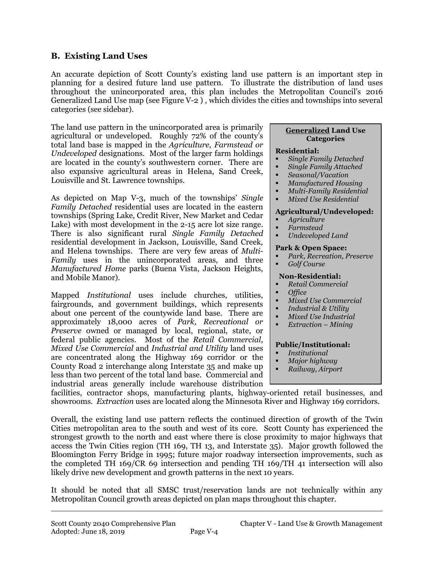### **B. Existing Land Uses**

An accurate depiction of Scott County's existing land use pattern is an important step in planning for a desired future land use pattern. To illustrate the distribution of land uses throughout the unincorporated area, this plan includes the Metropolitan Council's 2016 Generalized Land Use map (see Figure V-2 ) , which divides the cities and townships into several categories (see sidebar).

The land use pattern in the unincorporated area is primarily agricultural or undeveloped. Roughly 72% of the county's total land base is mapped in the *Agriculture, Farmstead or Undeveloped* designations. Most of the larger farm holdings are located in the county's southwestern corner. There are also expansive agricultural areas in Helena, Sand Creek, Louisville and St. Lawrence townships.

As depicted on Map V-3, much of the townships' *Single Family Detached* residential uses are located in the eastern townships (Spring Lake, Credit River, New Market and Cedar Lake) with most development in the 2-15 acre lot size range. There is also significant rural *Single Family Detached* residential development in Jackson, Louisville, Sand Creek, and Helena townships. There are very few areas of *Multi-Family* uses in the unincorporated areas, and three *Manufactured Home* parks (Buena Vista, Jackson Heights, and Mobile Manor).

Mapped *Institutional* uses include churches, utilities, fairgrounds, and government buildings, which represents about one percent of the countywide land base. There are approximately 18,000 acres of *Park, Recreational or Preserve* owned or managed by local, regional, state, or federal public agencies. Most of the *Retail Commercial, Mixed Use Commercial* and *Industrial and Utility* land uses are concentrated along the Highway 169 corridor or the County Road 2 interchange along Interstate 35 and make up less than two percent of the total land base. Commercial and industrial areas generally include warehouse distribution

#### **Generalized Land Use Categories**

#### **Residential:**

- *Single Family Detached*
- *Single Family Attached*
- *Seasonal/Vacation*
- *Manufactured Housing*
- *Multi-Family Residential*
- *Mixed Use Residential*

#### **Agricultural/Undeveloped:**

- *Agriculture*
- *Farmstead*
- *Undeveloped Land*

#### **Park & Open Space:**

- *Park, Recreation, Preserve*
- *Golf Course*

#### **Non-Residential:**

- *Retail Commercial*
- *Office*
- *Mixed Use Commercial*
- *Industrial & Utility*
- *Mixed Use Industrial*
- *Extraction – Mining*

#### **Public/Institutional:**

- *Institutional*
- *Major highway*
- *Railway, Airport*

facilities, contractor shops, manufacturing plants, highway-oriented retail businesses, and showrooms. *Extraction* uses are located along the Minnesota River and Highway 169 corridors.

Overall, the existing land use pattern reflects the continued direction of growth of the Twin Cities metropolitan area to the south and west of its core. Scott County has experienced the strongest growth to the north and east where there is close proximity to major highways that access the Twin Cities region (TH 169, TH 13, and Interstate 35). Major growth followed the Bloomington Ferry Bridge in 1995; future major roadway intersection improvements, such as the completed TH 169/CR 69 intersection and pending TH 169/TH 41 intersection will also likely drive new development and growth patterns in the next 10 years.

It should be noted that all SMSC trust/reservation lands are not technically within any Metropolitan Council growth areas depicted on plan maps throughout this chapter.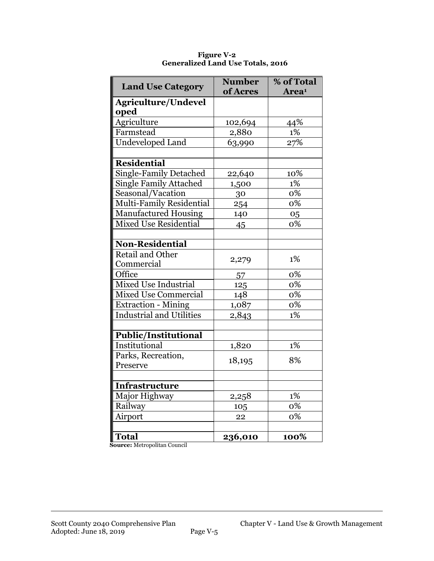| <b>Land Use Category</b>        | <b>Number</b> | % of Total        |  |
|---------------------------------|---------------|-------------------|--|
|                                 | of Acres      | Area <sup>1</sup> |  |
| <b>Agriculture/Undevel</b>      |               |                   |  |
| oped                            |               |                   |  |
| Agriculture                     | 102,694       | 44%               |  |
| Farmstead                       | 2,880         | 1%                |  |
| <b>Undeveloped Land</b>         | 63,990        | 27%               |  |
|                                 |               |                   |  |
| Residential                     |               |                   |  |
| Single-Family Detached          | 22,640        | 10%               |  |
| <b>Single Family Attached</b>   | 1,500         | 1%                |  |
| Seasonal/Vacation               | 30            | 0%                |  |
| Multi-Family Residential        | 254           | 0%                |  |
| <b>Manufactured Housing</b>     | 140           | 05                |  |
| <b>Mixed Use Residential</b>    | 45            | 0%                |  |
|                                 |               |                   |  |
| <b>Non-Residential</b>          |               |                   |  |
| <b>Retail and Other</b>         |               | 1%                |  |
| Commercial                      | 2,279         |                   |  |
| Office                          | 57            | 0%                |  |
| <b>Mixed Use Industrial</b>     | 125           | 0%                |  |
| <b>Mixed Use Commercial</b>     | 148           | 0%                |  |
| <b>Extraction - Mining</b>      | 1,087         | 0%                |  |
| <b>Industrial and Utilities</b> | 2,843         | 1%                |  |
|                                 |               |                   |  |
| <b>Public/Institutional</b>     |               |                   |  |
| Institutional                   | 1,820         | 1%                |  |
| Parks, Recreation,              | 18,195        | 8%                |  |
| Preserve                        |               |                   |  |
|                                 |               |                   |  |
| <b>Infrastructure</b>           |               |                   |  |
| Major Highway                   | 2,258         | 1%                |  |
| Railway                         | 105           | 0%                |  |
| Airport                         | 22            | 0%                |  |
|                                 |               |                   |  |
| Total                           | 236,010       | 100%              |  |

**Figure V-2 Generalized Land Use Totals, 2016**

 **Source:** Metropolitan Council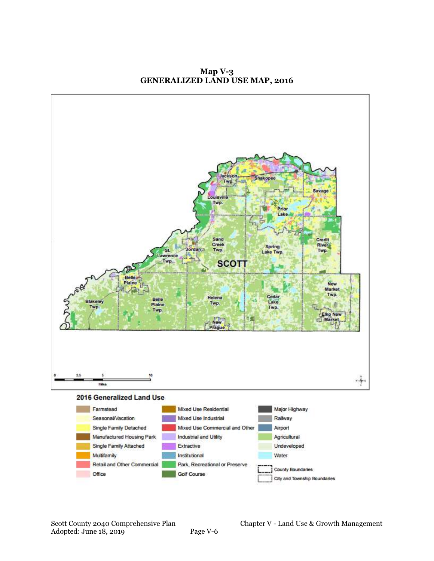**Map V-3 GENERALIZED LAND USE MAP, 2016**

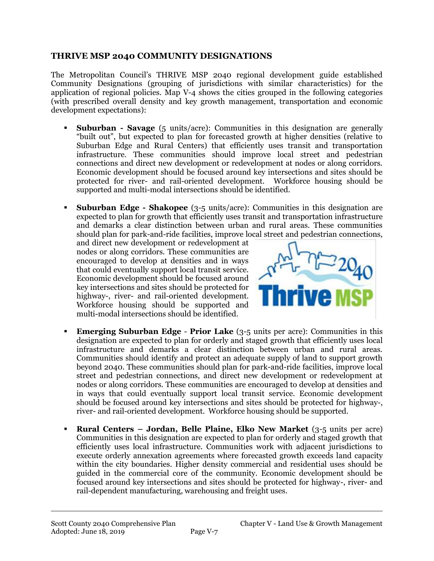### **THRIVE MSP 2040 COMMUNITY DESIGNATIONS**

The Metropolitan Council's THRIVE MSP 2040 regional development guide established Community Designations (grouping of jurisdictions with similar characteristics) for the application of regional policies. Map V-4 shows the cities grouped in the following categories (with prescribed overall density and key growth management, transportation and economic development expectations):

- **Suburban Savage** (5 units/acre): Communities in this designation are generally "built out", but expected to plan for forecasted growth at higher densities (relative to Suburban Edge and Rural Centers) that efficiently uses transit and transportation infrastructure. These communities should improve local street and pedestrian connections and direct new development or redevelopment at nodes or along corridors. Economic development should be focused around key intersections and sites should be protected for river- and rail-oriented development. Workforce housing should be supported and multi-modal intersections should be identified.
- **Suburban Edge - Shakopee** (3-5 units/acre): Communities in this designation are expected to plan for growth that efficiently uses transit and transportation infrastructure and demarks a clear distinction between urban and rural areas. These communities should plan for park-and-ride facilities, improve local street and pedestrian connections,

and direct new development or redevelopment at nodes or along corridors. These communities are encouraged to develop at densities and in ways that could eventually support local transit service. Economic development should be focused around key intersections and sites should be protected for highway-, river- and rail-oriented development. Workforce housing should be supported and multi-modal intersections should be identified.



- **Emerging Suburban Edge Prior Lake** (3-5 units per acre): Communities in this designation are expected to plan for orderly and staged growth that efficiently uses local infrastructure and demarks a clear distinction between urban and rural areas. Communities should identify and protect an adequate supply of land to support growth beyond 2040. These communities should plan for park-and-ride facilities, improve local street and pedestrian connections, and direct new development or redevelopment at nodes or along corridors. These communities are encouraged to develop at densities and in ways that could eventually support local transit service. Economic development should be focused around key intersections and sites should be protected for highway-, river- and rail-oriented development. Workforce housing should be supported.
- **Rural Centers – Jordan, Belle Plaine, Elko New Market** (3-5 units per acre) Communities in this designation are expected to plan for orderly and staged growth that efficiently uses local infrastructure. Communities work with adjacent jurisdictions to execute orderly annexation agreements where forecasted growth exceeds land capacity within the city boundaries. Higher density commercial and residential uses should be guided in the commercial core of the community. Economic development should be focused around key intersections and sites should be protected for highway-, river- and rail-dependent manufacturing, warehousing and freight uses.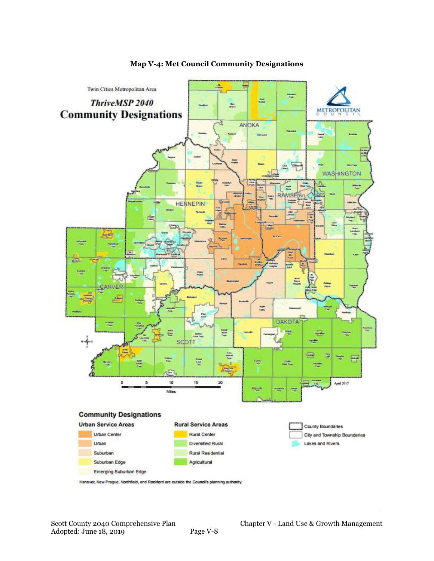

#### **Map V-4: Met Council Community Designations**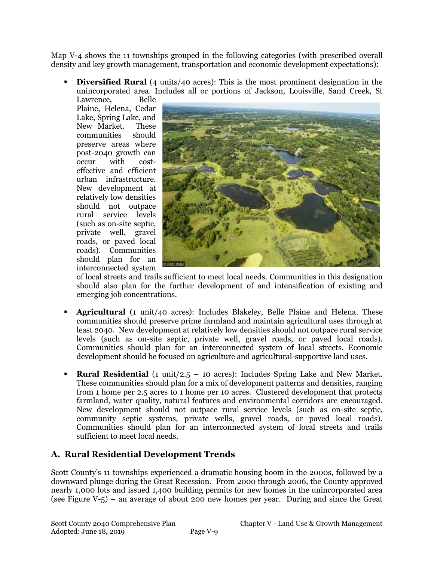Map V-4 shows the 11 townships grouped in the following categories (with prescribed overall density and key growth management, transportation and economic development expectations):

 **Diversified Rural** (4 units/40 acres): This is the most prominent designation in the unincorporated area. Includes all or portions of Jackson, Louisville, Sand Creek, St

Lawrence, Belle Plaine, Helena, Cedar Lake, Spring Lake, and New Market. These communities should preserve areas where post-2040 growth can occur with costeffective and efficient urban infrastructure. New development at relatively low densities should not outpace rural service levels (such as on-site septic, private well, gravel roads, or paved local roads). Communities should plan for an interconnected system



of local streets and trails sufficient to meet local needs. Communities in this designation should also plan for the further development of and intensification of existing and emerging job concentrations.

- **Agricultural** (1 unit/40 acres): Includes Blakeley, Belle Plaine and Helena. These communities should preserve prime farmland and maintain agricultural uses through at least 2040. New development at relatively low densities should not outpace rural service levels (such as on-site septic, private well, gravel roads, or paved local roads). Communities should plan for an interconnected system of local streets. Economic development should be focused on agriculture and agricultural-supportive land uses.
- **Rural Residential** (1 unit/2.5 10 acres): Includes Spring Lake and New Market. These communities should plan for a mix of development patterns and densities, ranging from 1 home per 2.5 acres to 1 home per 10 acres. Clustered development that protects farmland, water quality, natural features and environmental corridors are encouraged. New development should not outpace rural service levels (such as on-site septic, community septic systems, private wells, gravel roads, or paved local roads). Communities should plan for an interconnected system of local streets and trails sufficient to meet local needs.

# **A. Rural Residential Development Trends**

Scott County's 11 townships experienced a dramatic housing boom in the 2000s, followed by a downward plunge during the Great Recession. From 2000 through 2006, the County approved nearly 1,000 lots and issued 1,400 building permits for new homes in the unincorporated area (see Figure V-5) – an average of about 200 new homes per year. During and since the Great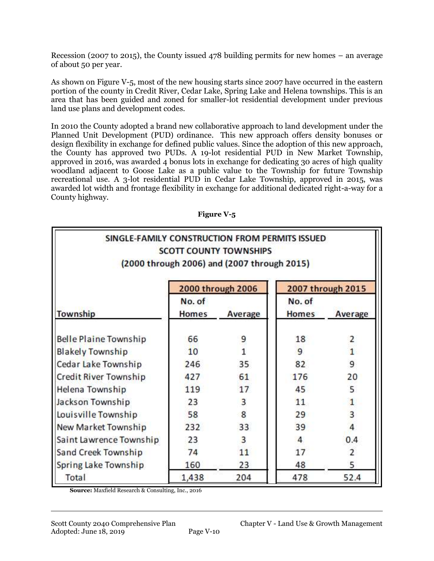Recession (2007 to 2015), the County issued 478 building permits for new homes – an average of about 50 per year.

As shown on Figure V-5, most of the new housing starts since 2007 have occurred in the eastern portion of the county in Credit River, Cedar Lake, Spring Lake and Helena townships. This is an area that has been guided and zoned for smaller-lot residential development under previous land use plans and development codes.

In 2010 the County adopted a brand new collaborative approach to land development under the Planned Unit Development (PUD) ordinance. This new approach offers density bonuses or design flexibility in exchange for defined public values. Since the adoption of this new approach, the County has approved two PUDs. A 19-lot residential PUD in New Market Township, approved in 2016, was awarded 4 bonus lots in exchange for dedicating 30 acres of high quality woodland adjacent to Goose Lake as a public value to the Township for future Township recreational use. A 3-lot residential PUD in Cedar Lake Township, approved in 2015, was awarded lot width and frontage flexibility in exchange for additional dedicated right-a-way for a County highway.

| SINGLE-FAMILY CONSTRUCTION FROM PERMITS ISSUED<br><b>SCOTT COUNTY TOWNSHIPS</b><br>(2000 through 2006) and (2007 through 2015) |                   |                |                   |              |  |
|--------------------------------------------------------------------------------------------------------------------------------|-------------------|----------------|-------------------|--------------|--|
|                                                                                                                                | 2000 through 2006 |                | 2007 through 2015 |              |  |
| Township                                                                                                                       | No. of<br>Homes   | Average        | No. of<br>Homes   | Average      |  |
| <b>Belle Plaine Township</b>                                                                                                   | 66                | 9              | 18                | 2            |  |
| <b>Blakely Township</b>                                                                                                        | 10                | $\overline{1}$ | 9                 | $\mathbf{1}$ |  |
| Cedar Lake Township                                                                                                            | 246               | 35             | 82                | 9            |  |
| Credit River Township                                                                                                          | 427               | 61             | 176               | 20           |  |
| Helena Township                                                                                                                | 119               | 17             | 45                | 5            |  |
| Jackson Township                                                                                                               | 23                | 3              | 11                | $\mathbf{1}$ |  |
| Louisville Township                                                                                                            | 58                | 8              | 29                | 3            |  |
| New Market Township                                                                                                            | 232               | 33             | 39                | 4            |  |
| Saint Lawrence Township                                                                                                        | 23                | 3              | 4                 | 0.4          |  |
| Sand Creek Township                                                                                                            | 74                | 11             | 17                | 2            |  |
| Spring Lake Township                                                                                                           | 160               | 23             | 48                | 5            |  |
| Total                                                                                                                          | 1,438             | 204            | 478               | 52.4         |  |

#### **Figure V-5**

 **Source:** Maxfield Research & Consulting, Inc., 2016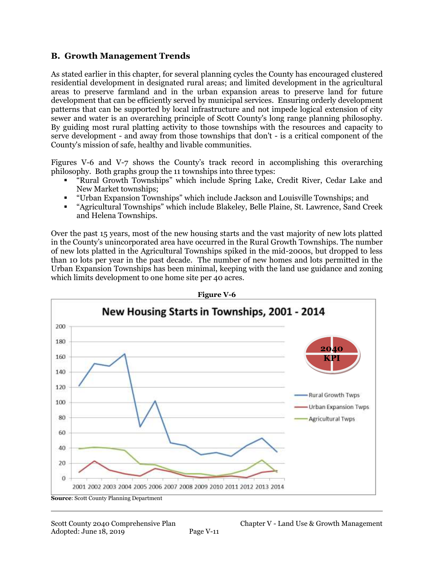### **B. Growth Management Trends**

As stated earlier in this chapter, for several planning cycles the County has encouraged clustered residential development in designated rural areas; and limited development in the agricultural areas to preserve farmland and in the urban expansion areas to preserve land for future development that can be efficiently served by municipal services. Ensuring orderly development patterns that can be supported by local infrastructure and not impede logical extension of city sewer and water is an overarching principle of Scott County's long range planning philosophy. By guiding most rural platting activity to those townships with the resources and capacity to serve development - and away from those townships that don't - is a critical component of the County's mission of safe, healthy and livable communities.

Figures V-6 and V-7 shows the County's track record in accomplishing this overarching philosophy. Both graphs group the 11 townships into three types:

- "Rural Growth Townships" which include Spring Lake, Credit River, Cedar Lake and New Market townships;
- "Urban Expansion Townships" which include Jackson and Louisville Townships; and
- "Agricultural Townships" which include Blakeley, Belle Plaine, St. Lawrence, Sand Creek and Helena Townships.

Over the past 15 years, most of the new housing starts and the vast majority of new lots platted in the County's unincorporated area have occurred in the Rural Growth Townships. The number of new lots platted in the Agricultural Townships spiked in the mid-2000s, but dropped to less than 10 lots per year in the past decade. The number of new homes and lots permitted in the Urban Expansion Townships has been minimal, keeping with the land use guidance and zoning which limits development to one home site per 40 acres.



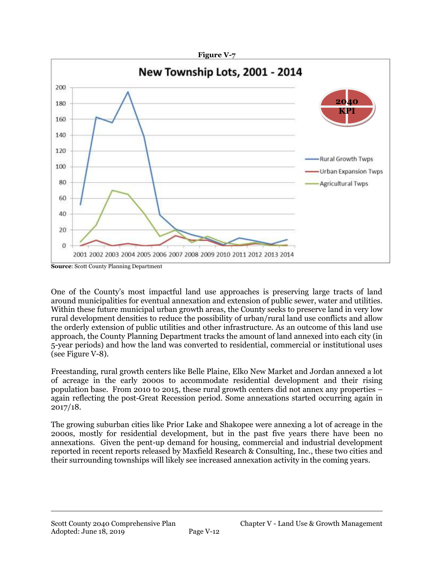

**Source**: Scott County Planning Department

One of the County's most impactful land use approaches is preserving large tracts of land around municipalities for eventual annexation and extension of public sewer, water and utilities. Within these future municipal urban growth areas, the County seeks to preserve land in very low rural development densities to reduce the possibility of urban/rural land use conflicts and allow the orderly extension of public utilities and other infrastructure. As an outcome of this land use approach, the County Planning Department tracks the amount of land annexed into each city (in 5-year periods) and how the land was converted to residential, commercial or institutional uses (see Figure V-8).

Freestanding, rural growth centers like Belle Plaine, Elko New Market and Jordan annexed a lot of acreage in the early 2000s to accommodate residential development and their rising population base. From 2010 to 2015, these rural growth centers did not annex any properties – again reflecting the post-Great Recession period. Some annexations started occurring again in 2017/18.

The growing suburban cities like Prior Lake and Shakopee were annexing a lot of acreage in the 2000s, mostly for residential development, but in the past five years there have been no annexations. Given the pent-up demand for housing, commercial and industrial development reported in recent reports released by Maxfield Research & Consulting, Inc., these two cities and their surrounding townships will likely see increased annexation activity in the coming years.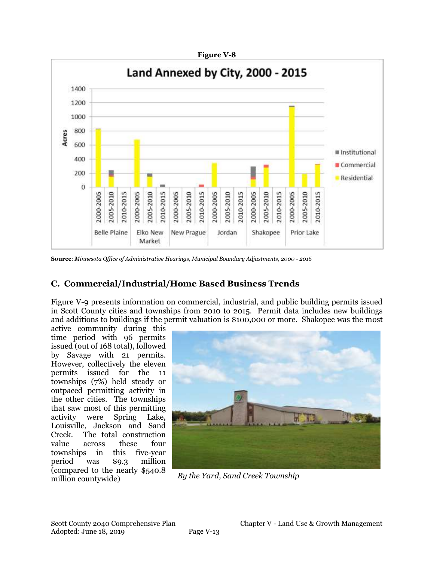

**Source**: *Minnesota Office of Administrative Hearings, Municipal Boundary Adjustments, 2000 - 2016*

# **C. Commercial/Industrial/Home Based Business Trends**

Figure V-9 presents information on commercial, industrial, and public building permits issued in Scott County cities and townships from 2010 to 2015. Permit data includes new buildings and additions to buildings if the permit valuation is \$100,000 or more. Shakopee was the most

active community during this time period with 96 permits issued (out of 168 total), followed by Savage with 21 permits. However, collectively the eleven permits issued for the 11 townships (7%) held steady or outpaced permitting activity in the other cities. The townships that saw most of this permitting activity were Spring Lake, Louisville, Jackson and Sand Creek. The total construction value across these four townships in this five-year period was \$9.3 million (compared to the nearly \$540.8 million countywide) *By the Yard, Sand Creek Township*

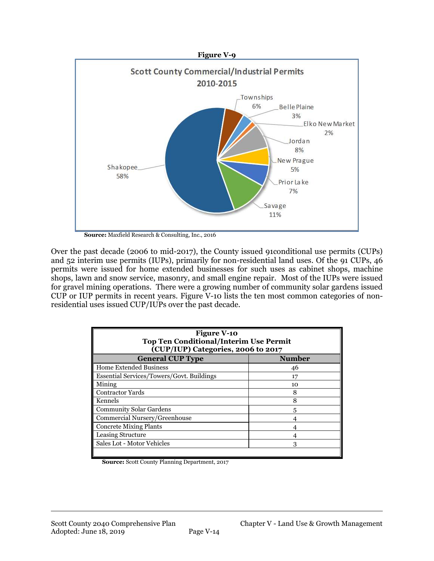

 **Source:** Maxfield Research & Consulting, Inc., 2016

Over the past decade (2006 to mid-2017), the County issued 91conditional use permits (CUPs) and 52 interim use permits (IUPs), primarily for non-residential land uses. Of the 91 CUPs, 46 permits were issued for home extended businesses for such uses as cabinet shops, machine shops, lawn and snow service, masonry, and small engine repair. Most of the IUPs were issued for gravel mining operations. There were a growing number of community solar gardens issued CUP or IUP permits in recent years. Figure V-10 lists the ten most common categories of nonresidential uses issued CUP/IUPs over the past decade.

| <b>Figure V-10</b><br><b>Top Ten Conditional/Interim Use Permit</b><br>(CUP/IUP) Categories, 2006 to 2017 |    |  |  |
|-----------------------------------------------------------------------------------------------------------|----|--|--|
| <b>General CUP Type</b><br><b>Number</b>                                                                  |    |  |  |
| <b>Home Extended Business</b>                                                                             | 46 |  |  |
| Essential Services/Towers/Govt. Buildings                                                                 | 17 |  |  |
| Mining                                                                                                    | 10 |  |  |
| <b>Contractor Yards</b>                                                                                   | 8  |  |  |
| Kennels                                                                                                   | 8  |  |  |
| <b>Community Solar Gardens</b>                                                                            | 5  |  |  |
| Commercial Nursery/Greenhouse                                                                             |    |  |  |
| <b>Concrete Mixing Plants</b>                                                                             |    |  |  |
| Leasing Structure                                                                                         |    |  |  |
| Sales Lot - Motor Vehicles<br>3                                                                           |    |  |  |
|                                                                                                           |    |  |  |

**Source:** Scott County Planning Department, 2017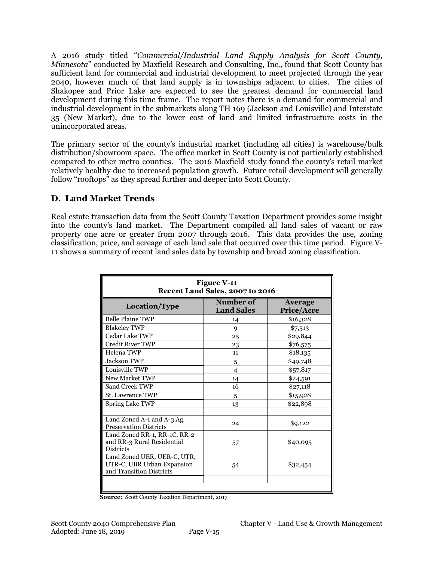A 2016 study titled "*Commercial/Industrial Land Supply Analysis for Scott County, Minnesota*" conducted by Maxfield Research and Consulting, Inc., found that Scott County has sufficient land for commercial and industrial development to meet projected through the year 2040, however much of that land supply is in townships adjacent to cities. The cities of Shakopee and Prior Lake are expected to see the greatest demand for commercial land development during this time frame. The report notes there is a demand for commercial and industrial development in the submarkets along TH 169 (Jackson and Louisville) and Interstate 35 (New Market), due to the lower cost of land and limited infrastructure costs in the unincorporated areas.

The primary sector of the county's industrial market (including all cities) is warehouse/bulk distribution/showroom space. The office market in Scott County is not particularly established compared to other metro counties. The 2016 Maxfield study found the county's retail market relatively healthy due to increased population growth. Future retail development will generally follow "rooftops" as they spread further and deeper into Scott County.

## **D. Land Market Trends**

Real estate transaction data from the Scott County Taxation Department provides some insight into the county's land market. The Department compiled all land sales of vacant or raw property one acre or greater from 2007 through 2016. This data provides the use, zoning classification, price, and acreage of each land sale that occurred over this time period. Figure V-11 shows a summary of recent land sales data by township and broad zoning classification.

| <b>Figure V-11</b><br>Recent Land Sales, 2007 to 2016                                 |                                |                       |  |  |
|---------------------------------------------------------------------------------------|--------------------------------|-----------------------|--|--|
| Location/Type                                                                         | Number of<br><b>Land Sales</b> | Average<br>Price/Acre |  |  |
| <b>Belle Plaine TWP</b>                                                               | 14                             | \$16,328              |  |  |
| <b>Blakeley TWP</b>                                                                   | 9                              | \$7,513               |  |  |
| Cedar Lake TWP                                                                        | 25                             | \$29,844              |  |  |
| <b>Credit River TWP</b>                                                               | 23                             | \$76,575              |  |  |
| Helena TWP                                                                            | 11                             | \$18,135              |  |  |
| Jackson TWP                                                                           | 5                              | \$49,748              |  |  |
| Louisville TWP                                                                        | 4                              | \$57,817              |  |  |
| New Market TWP                                                                        | 14                             | \$24,591              |  |  |
| Sand Creek TWP                                                                        | 16                             | \$27,118              |  |  |
| <b>St. Lawrence TWP</b>                                                               | 5                              | \$15,928              |  |  |
| Spring Lake TWP                                                                       | 13                             | \$22,898              |  |  |
|                                                                                       |                                |                       |  |  |
| Land Zoned A-1 and A-3 Ag.<br><b>Preservation Districts</b>                           | 24                             | \$9,122               |  |  |
| Land Zoned RR-1, RR-1C, RR-2<br>and RR-3 Rural Residential<br><b>Districts</b>        | 57                             | \$40,095              |  |  |
| Land Zoned UER, UER-C, UTR,<br>UTR-C, UBR Urban Expansion<br>and Transition Districts | 54                             | \$32,454              |  |  |
|                                                                                       |                                |                       |  |  |

**Source:** Scott County Taxation Department, 2017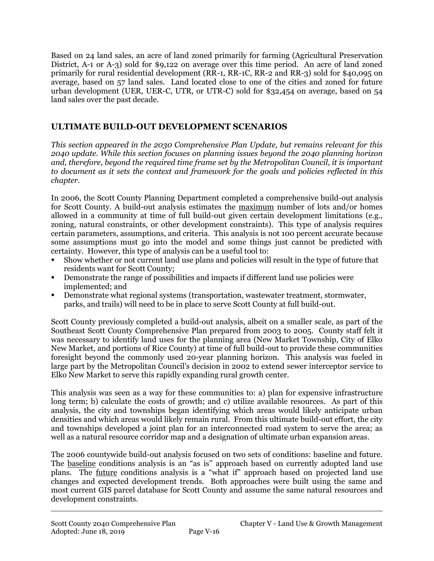Based on 24 land sales, an acre of land zoned primarily for farming (Agricultural Preservation District, A-1 or A-3) sold for \$9,122 on average over this time period. An acre of land zoned primarily for rural residential development (RR-1, RR-1C, RR-2 and RR-3) sold for \$40,095 on average, based on 57 land sales. Land located close to one of the cities and zoned for future urban development (UER, UER-C, UTR, or UTR-C) sold for \$32,454 on average, based on 54 land sales over the past decade.

## **ULTIMATE BUILD-OUT DEVELOPMENT SCENARIOS**

*This section appeared in the 2030 Comprehensive Plan Update, but remains relevant for this 2040 update. While this section focuses on planning issues beyond the 2040 planning horizon and, therefore, beyond the required time frame set by the Metropolitan Council, it is important to document as it sets the context and framework for the goals and policies reflected in this chapter.* 

In 2006, the Scott County Planning Department completed a comprehensive build-out analysis for Scott County. A build-out analysis estimates the maximum number of lots and/or homes allowed in a community at time of full build-out given certain development limitations (e.g., zoning, natural constraints, or other development constraints). This type of analysis requires certain parameters, assumptions, and criteria. This analysis is not 100 percent accurate because some assumptions must go into the model and some things just cannot be predicted with certainty. However, this type of analysis can be a useful tool to:

- Show whether or not current land use plans and policies will result in the type of future that residents want for Scott County;
- Demonstrate the range of possibilities and impacts if different land use policies were implemented; and
- Demonstrate what regional systems (transportation, wastewater treatment, stormwater, parks, and trails) will need to be in place to serve Scott County at full build-out.

Scott County previously completed a build-out analysis, albeit on a smaller scale, as part of the Southeast Scott County Comprehensive Plan prepared from 2003 to 2005. County staff felt it was necessary to identify land uses for the planning area (New Market Township, City of Elko New Market, and portions of Rice County) at time of full build-out to provide these communities foresight beyond the commonly used 20-year planning horizon. This analysis was fueled in large part by the Metropolitan Council's decision in 2002 to extend sewer interceptor service to Elko New Market to serve this rapidly expanding rural growth center.

This analysis was seen as a way for these communities to: a) plan for expensive infrastructure long term; b) calculate the costs of growth; and c) utilize available resources. As part of this analysis, the city and townships began identifying which areas would likely anticipate urban densities and which areas would likely remain rural. From this ultimate build-out effort, the city and townships developed a joint plan for an interconnected road system to serve the area; as well as a natural resource corridor map and a designation of ultimate urban expansion areas.

The 2006 countywide build-out analysis focused on two sets of conditions: baseline and future. The baseline conditions analysis is an "as is" approach based on currently adopted land use plans. The future conditions analysis is a "what if" approach based on projected land use changes and expected development trends. Both approaches were built using the same and most current GIS parcel database for Scott County and assume the same natural resources and development constraints.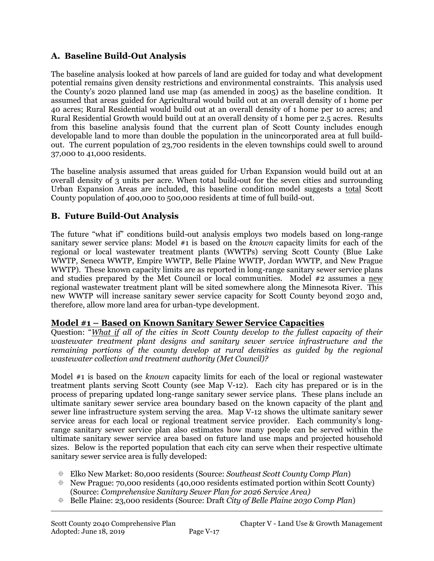# **A. Baseline Build-Out Analysis**

The baseline analysis looked at how parcels of land are guided for today and what development potential remains given density restrictions and environmental constraints. This analysis used the County's 2020 planned land use map (as amended in 2005) as the baseline condition. It assumed that areas guided for Agricultural would build out at an overall density of 1 home per 40 acres; Rural Residential would build out at an overall density of 1 home per 10 acres; and Rural Residential Growth would build out at an overall density of 1 home per 2.5 acres. Results from this baseline analysis found that the current plan of Scott County includes enough developable land to more than double the population in the unincorporated area at full buildout. The current population of 23,700 residents in the eleven townships could swell to around 37,000 to 41,000 residents.

The baseline analysis assumed that areas guided for Urban Expansion would build out at an overall density of 3 units per acre. When total build-out for the seven cities and surrounding Urban Expansion Areas are included, this baseline condition model suggests a total Scott County population of 400,000 to 500,000 residents at time of full build-out.

## **B. Future Build-Out Analysis**

The future "what if" conditions build-out analysis employs two models based on long-range sanitary sewer service plans: Model #1 is based on the *known* capacity limits for each of the regional or local wastewater treatment plants (WWTPs) serving Scott County (Blue Lake WWTP, Seneca WWTP, Empire WWTP, Belle Plaine WWTP, Jordan WWTP, and New Prague WWTP). These known capacity limits are as reported in long-range sanitary sewer service plans and studies prepared by the Met Council or local communities. Model #2 assumes a new regional wastewater treatment plant will be sited somewhere along the Minnesota River. This new WWTP will increase sanitary sewer service capacity for Scott County beyond 2030 and, therefore, allow more land area for urban-type development.

### **Model #1 – Based on Known Sanitary Sewer Service Capacities**

Question: "*What if all of the cities in Scott County develop to the fullest capacity of their wastewater treatment plant designs and sanitary sewer service infrastructure and the remaining portions of the county develop at rural densities as guided by the regional wastewater collection and treatment authority (Met Council)?* 

Model #1 is based on the *known* capacity limits for each of the local or regional wastewater treatment plants serving Scott County (see Map V-12). Each city has prepared or is in the process of preparing updated long-range sanitary sewer service plans. These plans include an ultimate sanitary sewer service area boundary based on the known capacity of the plant and sewer line infrastructure system serving the area. Map V-12 shows the ultimate sanitary sewer service areas for each local or regional treatment service provider. Each community's longrange sanitary sewer service plan also estimates how many people can be served within the ultimate sanitary sewer service area based on future land use maps and projected household sizes. Below is the reported population that each city can serve when their respective ultimate sanitary sewer service area is fully developed:

- Elko New Market: 80,000 residents (Source: *Southeast Scott County Comp Plan*)
- New Prague: 70,000 residents (40,000 residents estimated portion within Scott County) (Source: *Comprehensive Sanitary Sewer Plan for 2026 Service Area)*
- Belle Plaine: 23,000 residents (Source: Draft *City of Belle Plaine 2030 Comp Plan*)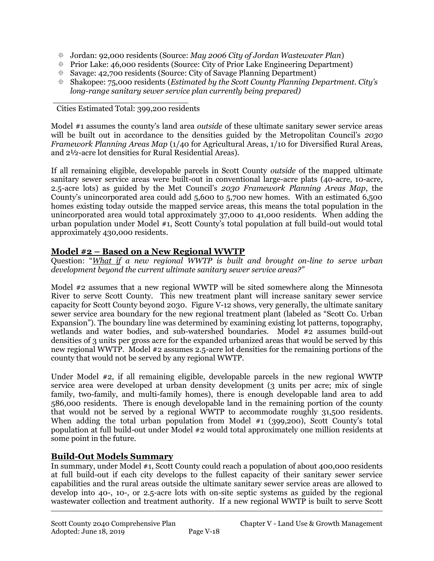- Jordan: 92,000 residents (Source: *May 2006 City of Jordan Wastewater Plan*)
- Prior Lake: 46,000 residents (Source: City of Prior Lake Engineering Department)
- Savage: 42,700 residents (Source: City of Savage Planning Department)
- Shakopee: 75,000 residents (*Estimated by the Scott County Planning Department. City's long-range sanitary sewer service plan currently being prepared)*

\_\_\_\_\_\_\_\_\_\_\_\_\_\_\_\_\_\_\_\_\_\_\_\_\_\_\_ Cities Estimated Total: 399,200 residents

Model #1 assumes the county's land area *outside* of these ultimate sanitary sewer service areas will be built out in accordance to the densities guided by the Metropolitan Council's *2030 Framework Planning Areas Map* (1/40 for Agricultural Areas, 1/10 for Diversified Rural Areas, and 2½-acre lot densities for Rural Residential Areas).

If all remaining eligible, developable parcels in Scott County *outside* of the mapped ultimate sanitary sewer service areas were built-out in conventional large-acre plats (40-acre, 10-acre, 2.5-acre lots) as guided by the Met Council's *2030 Framework Planning Areas Map*, the County's unincorporated area could add 5,600 to 5,700 new homes. With an estimated 6,500 homes existing today outside the mapped service areas, this means the total population in the unincorporated area would total approximately 37,000 to 41,000 residents. When adding the urban population under Model #1, Scott County's total population at full build-out would total approximately 430,000 residents.

### **Model #2 – Based on a New Regional WWTP**

Question: "*What if a new regional WWTP is built and brought on-line to serve urban development beyond the current ultimate sanitary sewer service areas?"*

Model #2 assumes that a new regional WWTP will be sited somewhere along the Minnesota River to serve Scott County. This new treatment plant will increase sanitary sewer service capacity for Scott County beyond 2030. Figure V-12 shows, very generally, the ultimate sanitary sewer service area boundary for the new regional treatment plant (labeled as "Scott Co. Urban Expansion"). The boundary line was determined by examining existing lot patterns, topography, wetlands and water bodies, and sub-watershed boundaries. Model #2 assumes build-out densities of 3 units per gross acre for the expanded urbanized areas that would be served by this new regional WWTP. Model #2 assumes 2.5-acre lot densities for the remaining portions of the county that would not be served by any regional WWTP.

Under Model #2, if all remaining eligible, developable parcels in the new regional WWTP service area were developed at urban density development (3 units per acre; mix of single family, two-family, and multi-family homes), there is enough developable land area to add 586,000 residents. There is enough developable land in the remaining portion of the county that would not be served by a regional WWTP to accommodate roughly 31,500 residents. When adding the total urban population from Model #1 (399,200), Scott County's total population at full build-out under Model #2 would total approximately one million residents at some point in the future.

### **Build-Out Models Summary**

In summary, under Model #1, Scott County could reach a population of about 400,000 residents at full build-out if each city develops to the fullest capacity of their sanitary sewer service capabilities and the rural areas outside the ultimate sanitary sewer service areas are allowed to develop into 40-, 10-, or 2.5-acre lots with on-site septic systems as guided by the regional wastewater collection and treatment authority. If a new regional WWTP is built to serve Scott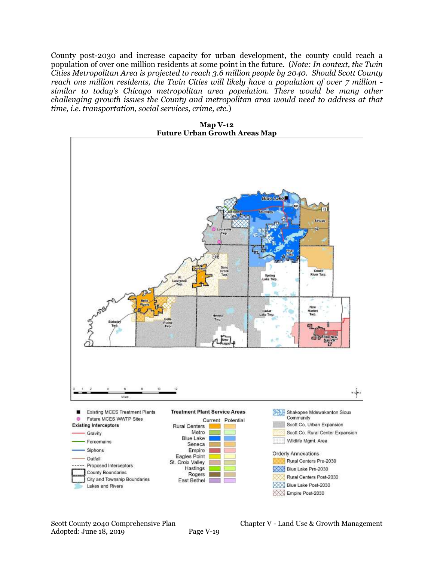County post-2030 and increase capacity for urban development, the county could reach a population of over one million residents at some point in the future. (*Note: In context, the Twin Cities Metropolitan Area is projected to reach 3.6 million people by 2040. Should Scott County reach one million residents, the Twin Cities will likely have a population of over 7 million similar to today's Chicago metropolitan area population. There would be many other challenging growth issues the County and metropolitan area would need to address at that time, i.e. transportation, social services, crime, etc.*)

**Map V-12 Future Urban Growth Areas Map**

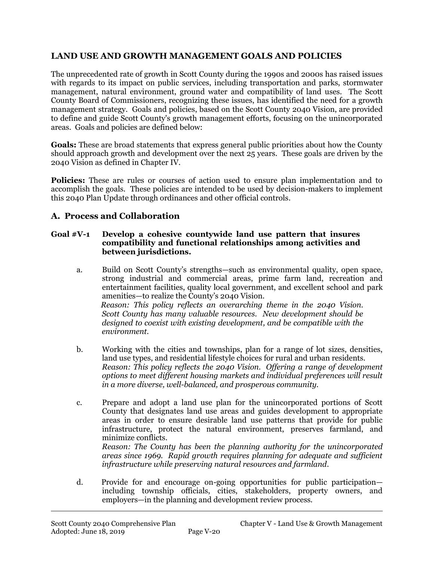### **LAND USE AND GROWTH MANAGEMENT GOALS AND POLICIES**

The unprecedented rate of growth in Scott County during the 1990s and 2000s has raised issues with regards to its impact on public services, including transportation and parks, stormwater management, natural environment, ground water and compatibility of land uses. The Scott County Board of Commissioners, recognizing these issues, has identified the need for a growth management strategy. Goals and policies, based on the Scott County 2040 Vision, are provided to define and guide Scott County's growth management efforts, focusing on the unincorporated areas. Goals and policies are defined below:

**Goals:** These are broad statements that express general public priorities about how the County should approach growth and development over the next 25 years. These goals are driven by the 2040 Vision as defined in Chapter IV.

**Policies:** These are rules or courses of action used to ensure plan implementation and to accomplish the goals. These policies are intended to be used by decision-makers to implement this 2040 Plan Update through ordinances and other official controls.

## **A. Process and Collaboration**

#### **Goal #V-1 Develop a cohesive countywide land use pattern that insures compatibility and functional relationships among activities and between jurisdictions.**

- a. Build on Scott County's strengths—such as environmental quality, open space, strong industrial and commercial areas, prime farm land, recreation and entertainment facilities, quality local government, and excellent school and park amenities—to realize the County's 2040 Vision.  *Reason: This policy reflects an overarching theme in the 2040 Vision. Scott County has many valuable resources. New development should be designed to coexist with existing development, and be compatible with the environment.*
- b. Working with the cities and townships, plan for a range of lot sizes, densities, land use types, and residential lifestyle choices for rural and urban residents. *Reason: This policy reflects the 2040 Vision. Offering a range of development options to meet different housing markets and individual preferences will result in a more diverse, well-balanced, and prosperous community.*
- c. Prepare and adopt a land use plan for the unincorporated portions of Scott County that designates land use areas and guides development to appropriate areas in order to ensure desirable land use patterns that provide for public infrastructure, protect the natural environment, preserves farmland, and minimize conflicts.

*Reason: The County has been the planning authority for the unincorporated areas since 1969. Rapid growth requires planning for adequate and sufficient infrastructure while preserving natural resources and farmland.* 

d. Provide for and encourage on-going opportunities for public participation including township officials, cities, stakeholders, property owners, and employers—in the planning and development review process.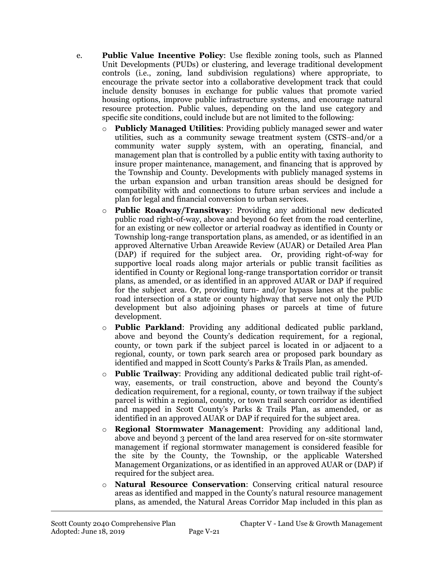- e. **Public Value Incentive Policy**: Use flexible zoning tools, such as Planned Unit Developments (PUDs) or clustering, and leverage traditional development controls (i.e., zoning, land subdivision regulations) where appropriate, to encourage the private sector into a collaborative development track that could include density bonuses in exchange for public values that promote varied housing options, improve public infrastructure systems, and encourage natural resource protection. Public values, depending on the land use category and specific site conditions, could include but are not limited to the following:
	- o **Publicly Managed Utilities**: Providing publicly managed sewer and water utilities, such as a community sewage treatment system (CSTS and/or a community water supply system, with an operating, financial, and management plan that is controlled by a public entity with taxing authority to insure proper maintenance, management, and financing that is approved by the Township and County. Developments with publicly managed systems in the urban expansion and urban transition areas should be designed for compatibility with and connections to future urban services and include a plan for legal and financial conversion to urban services.
	- o **Public Roadway/Transitway**: Providing any additional new dedicated public road right-of-way, above and beyond 60 feet from the road centerline, for an existing or new collector or arterial roadway as identified in County or Township long-range transportation plans, as amended, or as identified in an approved Alternative Urban Areawide Review (AUAR) or Detailed Area Plan (DAP) if required for the subject area. Or, providing right-of-way for supportive local roads along major arterials or public transit facilities as identified in County or Regional long-range transportation corridor or transit plans, as amended, or as identified in an approved AUAR or DAP if required for the subject area. Or, providing turn- and/or bypass lanes at the public road intersection of a state or county highway that serve not only the PUD development but also adjoining phases or parcels at time of future development.
	- o **Public Parkland**: Providing any additional dedicated public parkland, above and beyond the County's dedication requirement, for a regional, county, or town park if the subject parcel is located in or adjacent to a regional, county, or town park search area or proposed park boundary as identified and mapped in Scott County's Parks & Trails Plan, as amended.
	- o **Public Trailway**: Providing any additional dedicated public trail right-ofway, easements, or trail construction, above and beyond the County's dedication requirement, for a regional, county, or town trailway if the subject parcel is within a regional, county, or town trail search corridor as identified and mapped in Scott County's Parks & Trails Plan, as amended, or as identified in an approved AUAR or DAP if required for the subject area.
	- o **Regional Stormwater Management**: Providing any additional land, above and beyond 3 percent of the land area reserved for on-site stormwater management if regional stormwater management is considered feasible for the site by the County, the Township, or the applicable Watershed Management Organizations, or as identified in an approved AUAR or (DAP) if required for the subject area.
	- o **Natural Resource Conservation**: Conserving critical natural resource areas as identified and mapped in the County's natural resource management plans, as amended, the Natural Areas Corridor Map included in this plan as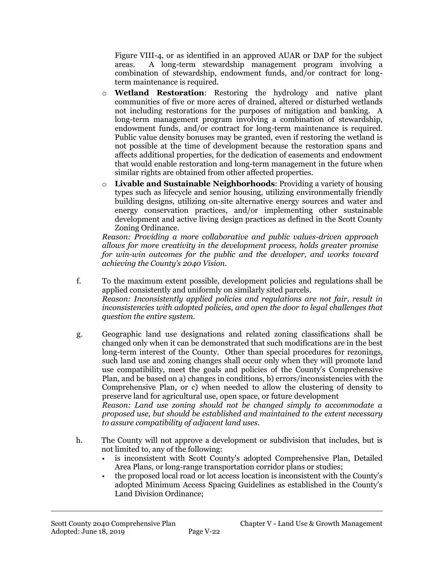Figure VIII-4, or as identified in an approved AUAR or DAP for the subject areas. A long-term stewardship management program involving a combination of stewardship, endowment funds, and/or contract for longterm maintenance is required.

- o **Wetland Restoration**: Restoring the hydrology and native plant communities of five or more acres of drained, altered or disturbed wetlands not including restorations for the purposes of mitigation and banking. A long-term management program involving a combination of stewardship, endowment funds, and/or contract for long-term maintenance is required. Public value density bonuses may be granted, even if restoring the wetland is not possible at the time of development because the restoration spans and affects additional properties, for the dedication of easements and endowment that would enable restoration and long-term management in the future when similar rights are obtained from other affected properties.
- o **Livable and Sustainable Neighborhoods**: Providing a variety of housing types such as lifecycle and senior housing, utilizing environmentally friendly building designs, utilizing on-site alternative energy sources and water and energy conservation practices, and/or implementing other sustainable development and active living design practices as defined in the Scott County Zoning Ordinance.

*Reason: Providing a more collaborative and public values-driven approach allows for more creativity in the development process, holds greater promise for win-win outcomes for the public and the developer, and works toward achieving the County's 2040 Vision.* 

- f. To the maximum extent possible, development policies and regulations shall be applied consistently and uniformly on similarly sited parcels. *Reason: Inconsistently applied policies and regulations are not fair, result in inconsistencies with adopted policies, and open the door to legal challenges that question the entire system.*
- g. Geographic land use designations and related zoning classifications shall be changed only when it can be demonstrated that such modifications are in the best long-term interest of the County. Other than special procedures for rezonings, such land use and zoning changes shall occur only when they will promote land use compatibility, meet the goals and policies of the County's Comprehensive Plan, and be based on a) changes in conditions, b) errors/inconsistencies with the Comprehensive Plan, or c) when needed to allow the clustering of density to preserve land for agricultural use, open space, or future development *Reason: Land use zoning should not be changed simply to accommodate a*

*proposed use, but should be established and maintained to the extent necessary to assure compatibility of adjacent land uses.* 

- h. The County will not approve a development or subdivision that includes, but is not limited to, any of the following:
	- is inconsistent with Scott County's adopted Comprehensive Plan, Detailed Area Plans, or long-range transportation corridor plans or studies;
	- the proposed local road or lot access location is inconsistent with the County's adopted Minimum Access Spacing Guidelines as established in the County's Land Division Ordinance;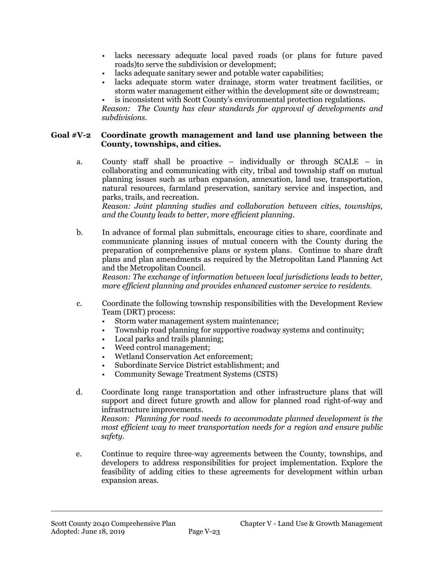- lacks necessary adequate local paved roads (or plans for future paved roads)to serve the subdivision or development;
- lacks adequate sanitary sewer and potable water capabilities;
- lacks adequate storm water drainage, storm water treatment facilities, or storm water management either within the development site or downstream;
- is inconsistent with Scott County's environmental protection regulations.

*Reason: The County has clear standards for approval of developments and subdivisions.*

### **Goal #V-2 Coordinate growth management and land use planning between the County, townships, and cities.**

a. County staff shall be proactive – individually or through SCALE – in collaborating and communicating with city, tribal and township staff on mutual planning issues such as urban expansion, annexation, land use, transportation, natural resources, farmland preservation, sanitary service and inspection, and parks, trails, and recreation.

*Reason: Joint planning studies and collaboration between cities, townships, and the County leads to better, more efficient planning.*

b. In advance of formal plan submittals, encourage cities to share, coordinate and communicate planning issues of mutual concern with the County during the preparation of comprehensive plans or system plans. Continue to share draft plans and plan amendments as required by the Metropolitan Land Planning Act and the Metropolitan Council.

*Reason: The exchange of information between local jurisdictions leads to better, more efficient planning and provides enhanced customer service to residents.*

- c. Coordinate the following township responsibilities with the Development Review Team (DRT) process:
	- Storm water management system maintenance;
	- Township road planning for supportive roadway systems and continuity;
	- Local parks and trails planning;
	- Weed control management;
	- Wetland Conservation Act enforcement;
	- Subordinate Service District establishment; and
	- Community Sewage Treatment Systems (CSTS)
- d. Coordinate long range transportation and other infrastructure plans that will support and direct future growth and allow for planned road right-of-way and infrastructure improvements.

*Reason: Planning for road needs to accommodate planned development is the most efficient way to meet transportation needs for a region and ensure public safety.*

e. Continue to require three-way agreements between the County, townships, and developers to address responsibilities for project implementation. Explore the feasibility of adding cities to these agreements for development within urban expansion areas.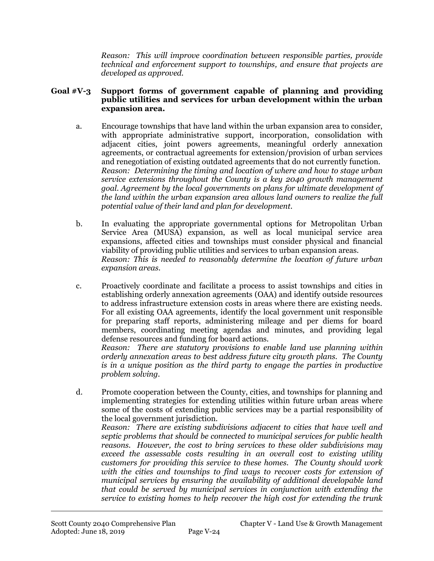*Reason: This will improve coordination between responsible parties, provide technical and enforcement support to townships, and ensure that projects are developed as approved.*

#### **Goal #V-3 Support forms of government capable of planning and providing public utilities and services for urban development within the urban expansion area.**

- a. Encourage townships that have land within the urban expansion area to consider, with appropriate administrative support, incorporation, consolidation with adjacent cities, joint powers agreements, meaningful orderly annexation agreements, or contractual agreements for extension/provision of urban services and renegotiation of existing outdated agreements that do not currently function. *Reason: Determining the timing and location of where and how to stage urban service extensions throughout the County is a key 2040 growth management goal. Agreement by the local governments on plans for ultimate development of the land within the urban expansion area allows land owners to realize the full potential value of their land and plan for development.*
- b. In evaluating the appropriate governmental options for Metropolitan Urban Service Area (MUSA) expansion, as well as local municipal service area expansions, affected cities and townships must consider physical and financial viability of providing public utilities and services to urban expansion areas. *Reason: This is needed to reasonably determine the location of future urban expansion areas.*
- c. Proactively coordinate and facilitate a process to assist townships and cities in establishing orderly annexation agreements (OAA) and identify outside resources to address infrastructure extension costs in areas where there are existing needs. For all existing OAA agreements, identify the local government unit responsible for preparing staff reports, administering mileage and per diems for board members, coordinating meeting agendas and minutes, and providing legal defense resources and funding for board actions. *Reason: There are statutory provisions to enable land use planning within*

*orderly annexation areas to best address future city growth plans. The County is in a unique position as the third party to engage the parties in productive problem solving.*

d. Promote cooperation between the County, cities, and townships for planning and implementing strategies for extending utilities within future urban areas where some of the costs of extending public services may be a partial responsibility of the local government jurisdiction.

*Reason: There are existing subdivisions adjacent to cities that have well and septic problems that should be connected to municipal services for public health reasons. However, the cost to bring services to these older subdivisions may exceed the assessable costs resulting in an overall cost to existing utility customers for providing this service to these homes. The County should work with the cities and townships to find ways to recover costs for extension of municipal services by ensuring the availability of additional developable land that could be served by municipal services in conjunction with extending the service to existing homes to help recover the high cost for extending the trunk*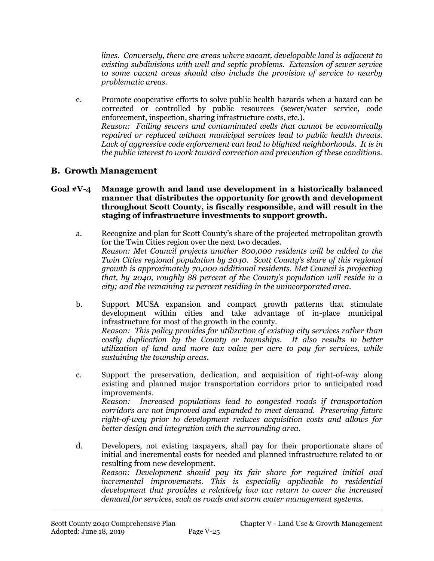*lines. Conversely, there are areas where vacant, developable land is adjacent to existing subdivisions with well and septic problems. Extension of sewer service to some vacant areas should also include the provision of service to nearby problematic areas.*

e. Promote cooperative efforts to solve public health hazards when a hazard can be corrected or controlled by public resources (sewer/water service, code enforcement, inspection, sharing infrastructure costs, etc.). *Reason: Failing sewers and contaminated wells that cannot be economically repaired or replaced without municipal services lead to public health threats. Lack of aggressive code enforcement can lead to blighted neighborhoods. It is in the public interest to work toward correction and prevention of these conditions.*

### **B. Growth Management**

- **Goal #V-4 Manage growth and land use development in a historically balanced manner that distributes the opportunity for growth and development throughout Scott County, is fiscally responsible, and will result in the staging of infrastructure investments to support growth.**
	- a. Recognize and plan for Scott County's share of the projected metropolitan growth for the Twin Cities region over the next two decades. *Reason: Met Council projects another 800,000 residents will be added to the Twin Cities regional population by 2040. Scott County's share of this regional growth is approximately 70,000 additional residents. Met Council is projecting that, by 2040, roughly 88 percent of the County's population will reside in a city; and the remaining 12 percent residing in the unincorporated area.*
	- b. Support MUSA expansion and compact growth patterns that stimulate development within cities and take advantage of in-place municipal infrastructure for most of the growth in the county. *Reason: This policy provides for utilization of existing city services rather than costly duplication by the County or townships. It also results in better utilization of land and more tax value per acre to pay for services, while sustaining the township areas.*
	- c. Support the preservation, dedication, and acquisition of right-of-way along existing and planned major transportation corridors prior to anticipated road improvements. *Reason: Increased populations lead to congested roads if transportation corridors are not improved and expanded to meet demand. Preserving future right-of-way prior to development reduces acquisition costs and allows for better design and integration with the surrounding area.*
	- d. Developers, not existing taxpayers, shall pay for their proportionate share of initial and incremental costs for needed and planned infrastructure related to or resulting from new development. *Reason: Development should pay its fair share for required initial and incremental improvements. This is especially applicable to residential development that provides a relatively low tax return to cover the increased demand for services, such as roads and storm water management systems.*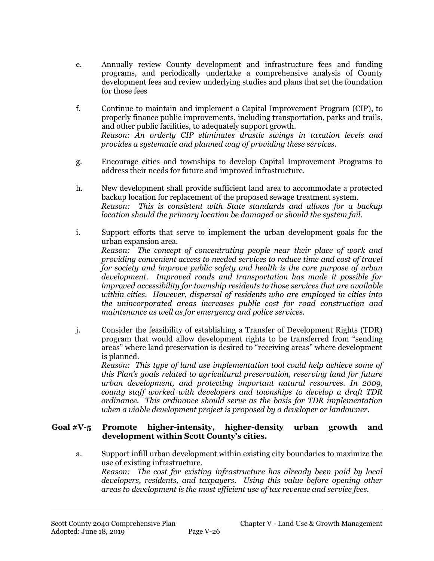- e. Annually review County development and infrastructure fees and funding programs, and periodically undertake a comprehensive analysis of County development fees and review underlying studies and plans that set the foundation for those fees
- f. Continue to maintain and implement a Capital Improvement Program (CIP), to properly finance public improvements, including transportation, parks and trails, and other public facilities, to adequately support growth. *Reason: An orderly CIP eliminates drastic swings in taxation levels and provides a systematic and planned way of providing these services.*
- g. Encourage cities and townships to develop Capital Improvement Programs to address their needs for future and improved infrastructure.
- h. New development shall provide sufficient land area to accommodate a protected backup location for replacement of the proposed sewage treatment system. *Reason: This is consistent with State standards and allows for a backup location should the primary location be damaged or should the system fail.*
- i. Support efforts that serve to implement the urban development goals for the urban expansion area. *Reason: The concept of concentrating people near their place of work and providing convenient access to needed services to reduce time and cost of travel for society and improve public safety and health is the core purpose of urban development. Improved roads and transportation has made it possible for improved accessibility for township residents to those services that are available within cities. However, dispersal of residents who are employed in cities into the unincorporated areas increases public cost for road construction and maintenance as well as for emergency and police services.*
- j. Consider the feasibility of establishing a Transfer of Development Rights (TDR) program that would allow development rights to be transferred from "sending areas" where land preservation is desired to "receiving areas" where development is planned.

*Reason: This type of land use implementation tool could help achieve some of this Plan's goals related to agricultural preservation, reserving land for future urban development, and protecting important natural resources. In 2009, county staff worked with developers and townships to develop a draft TDR ordinance. This ordinance should serve as the basis for TDR implementation when a viable development project is proposed by a developer or landowner.*

### **Goal #V-5 Promote higher-intensity, higher-density urban growth and development within Scott County's cities.**

a. Support infill urban development within existing city boundaries to maximize the use of existing infrastructure. *Reason: The cost for existing infrastructure has already been paid by local developers, residents, and taxpayers. Using this value before opening other areas to development is the most efficient use of tax revenue and service fees.*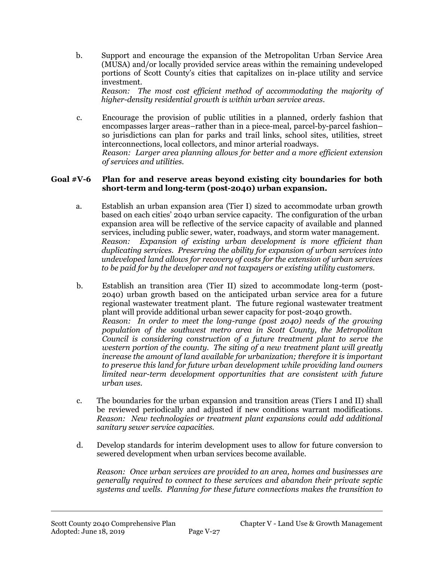b. Support and encourage the expansion of the Metropolitan Urban Service Area (MUSA) and/or locally provided service areas within the remaining undeveloped portions of Scott County's cities that capitalizes on in-place utility and service investment.

*Reason: The most cost efficient method of accommodating the majority of higher-density residential growth is within urban service areas.*

c. Encourage the provision of public utilities in a planned, orderly fashion that encompasses larger areas–rather than in a piece-meal, parcel-by-parcel fashion– so jurisdictions can plan for parks and trail links, school sites, utilities, street interconnections, local collectors, and minor arterial roadways. *Reason: Larger area planning allows for better and a more efficient extension of services and utilities.*

#### **Goal #V-6 Plan for and reserve areas beyond existing city boundaries for both short-term and long-term (post-2040) urban expansion.**

- a. Establish an urban expansion area (Tier I) sized to accommodate urban growth based on each cities' 2040 urban service capacity. The configuration of the urban expansion area will be reflective of the service capacity of available and planned services, including public sewer, water, roadways, and storm water management. *Reason: Expansion of existing urban development is more efficient than duplicating services. Preserving the ability for expansion of urban services into undeveloped land allows for recovery of costs for the extension of urban services to be paid for by the developer and not taxpayers or existing utility customers.*
- b. Establish an transition area (Tier II) sized to accommodate long-term (post-2040) urban growth based on the anticipated urban service area for a future regional wastewater treatment plant. The future regional wastewater treatment plant will provide additional urban sewer capacity for post-2040 growth. *Reason: In order to meet the long-range (post 2040) needs of the growing population of the southwest metro area in Scott County, the Metropolitan Council is considering construction of a future treatment plant to serve the western portion of the county. The siting of a new treatment plant will greatly increase the amount of land available for urbanization; therefore it is important to preserve this land for future urban development while providing land owners limited near-term development opportunities that are consistent with future urban uses.*
- c. The boundaries for the urban expansion and transition areas (Tiers I and II) shall be reviewed periodically and adjusted if new conditions warrant modifications. *Reason: New technologies or treatment plant expansions could add additional sanitary sewer service capacities.*
- d. Develop standards for interim development uses to allow for future conversion to sewered development when urban services become available.

*Reason: Once urban services are provided to an area, homes and businesses are generally required to connect to these services and abandon their private septic systems and wells. Planning for these future connections makes the transition to*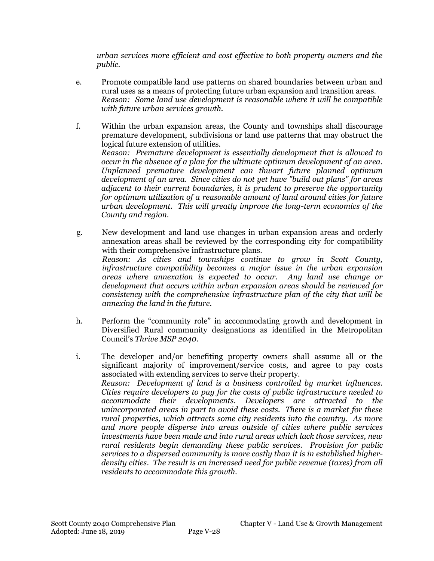*urban services more efficient and cost effective to both property owners and the public.* 

- e. Promote compatible land use patterns on shared boundaries between urban and rural uses as a means of protecting future urban expansion and transition areas. *Reason: Some land use development is reasonable where it will be compatible with future urban services growth.*
- f. Within the urban expansion areas, the County and townships shall discourage premature development, subdivisions or land use patterns that may obstruct the logical future extension of utilities. *Reason: Premature development is essentially development that is allowed to occur in the absence of a plan for the ultimate optimum development of an area. Unplanned premature development can thwart future planned optimum development of an area. Since cities do not yet have "build out plans" for areas adjacent to their current boundaries, it is prudent to preserve the opportunity for optimum utilization of a reasonable amount of land around cities for future urban development. This will greatly improve the long-term economics of the County and region.*
- g. New development and land use changes in urban expansion areas and orderly annexation areas shall be reviewed by the corresponding city for compatibility with their comprehensive infrastructure plans. *Reason: As cities and townships continue to grow in Scott County, infrastructure compatibility becomes a major issue in the urban expansion areas where annexation is expected to occur. Any land use change or development that occurs within urban expansion areas should be reviewed for consistency with the comprehensive infrastructure plan of the city that will be annexing the land in the future.*
- h. Perform the "community role" in accommodating growth and development in Diversified Rural community designations as identified in the Metropolitan Council's *Thrive MSP 2040*.
- i. The developer and/or benefiting property owners shall assume all or the significant majority of improvement/service costs, and agree to pay costs associated with extending services to serve their property. *Reason: Development of land is a business controlled by market influences. Cities require developers to pay for the costs of public infrastructure needed to accommodate their developments. Developers are attracted to the unincorporated areas in part to avoid these costs. There is a market for these rural properties, which attracts some city residents into the country. As more and more people disperse into areas outside of cities where public services investments have been made and into rural areas which lack those services, new rural residents begin demanding these public services. Provision for public services to a dispersed community is more costly than it is in established higherdensity cities. The result is an increased need for public revenue (taxes) from all residents to accommodate this growth.*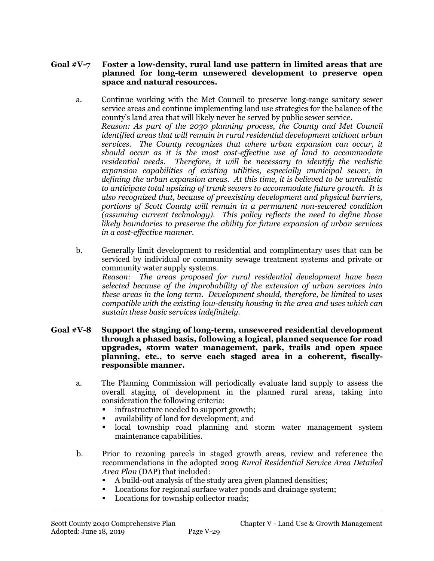### **Goal #V-7 Foster a low-density, rural land use pattern in limited areas that are planned for long-term unsewered development to preserve open space and natural resources.**

- a. Continue working with the Met Council to preserve long-range sanitary sewer service areas and continue implementing land use strategies for the balance of the county's land area that will likely never be served by public sewer service. *Reason: As part of the 2030 planning process, the County and Met Council identified areas that will remain in rural residential development without urban services. The County recognizes that where urban expansion can occur, it should occur as it is the most cost-effective use of land to accommodate residential needs. Therefore, it will be necessary to identify the realistic expansion capabilities of existing utilities, especially municipal sewer, in defining the urban expansion areas. At this time, it is believed to be unrealistic to anticipate total upsizing of trunk sewers to accommodate future growth. It is also recognized that, because of preexisting development and physical barriers, portions of Scott County will remain in a permanent non-sewered condition (assuming current technology). This policy reflects the need to define those likely boundaries to preserve the ability for future expansion of urban services in a cost-effective manner.*
- b. Generally limit development to residential and complimentary uses that can be serviced by individual or community sewage treatment systems and private or community water supply systems. *Reason: The areas proposed for rural residential development have been selected because of the improbability of the extension of urban services into these areas in the long term. Development should, therefore, be limited to uses compatible with the existing low-density housing in the area and uses which can sustain these basic services indefinitely.*
- **Goal #V-8 Support the staging of long-term, unsewered residential development through a phased basis, following a logical, planned sequence for road upgrades, storm water management, park, trails and open space planning, etc., to serve each staged area in a coherent, fiscallyresponsible manner.**
	- a. The Planning Commission will periodically evaluate land supply to assess the overall staging of development in the planned rural areas, taking into consideration the following criteria:
		- **imposite infrastructure needed to support growth;**
		- availability of land for development; and
		- local township road planning and storm water management system maintenance capabilities.
	- b. Prior to rezoning parcels in staged growth areas, review and reference the recommendations in the adopted 2009 *Rural Residential Service Area Detailed Area Plan* (DAP) that included:
		- A build-out analysis of the study area given planned densities;
		- Locations for regional surface water ponds and drainage system;
		- Locations for township collector roads;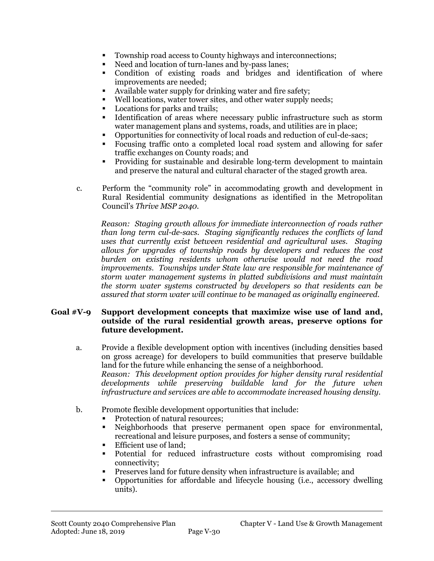- Township road access to County highways and interconnections;
- Need and location of turn-lanes and by-pass lanes;
- Condition of existing roads and bridges and identification of where improvements are needed;
- Available water supply for drinking water and fire safety;
- Well locations, water tower sites, and other water supply needs;
- **Locations for parks and trails;**
- Identification of areas where necessary public infrastructure such as storm water management plans and systems, roads, and utilities are in place;
- Opportunities for connectivity of local roads and reduction of cul-de-sacs;
- Focusing traffic onto a completed local road system and allowing for safer traffic exchanges on County roads; and
- **Providing for sustainable and desirable long-term development to maintain** and preserve the natural and cultural character of the staged growth area.
- c. Perform the "community role" in accommodating growth and development in Rural Residential community designations as identified in the Metropolitan Council's *Thrive MSP 2040*.

*Reason: Staging growth allows for immediate interconnection of roads rather than long term cul-de-sacs. Staging significantly reduces the conflicts of land uses that currently exist between residential and agricultural uses. Staging allows for upgrades of township roads by developers and reduces the cost burden on existing residents whom otherwise would not need the road improvements. Townships under State law are responsible for maintenance of storm water management systems in platted subdivisions and must maintain the storm water systems constructed by developers so that residents can be assured that storm water will continue to be managed as originally engineered.*

#### **Goal #V-9 Support development concepts that maximize wise use of land and, outside of the rural residential growth areas, preserve options for future development.**

- a. Provide a flexible development option with incentives (including densities based on gross acreage) for developers to build communities that preserve buildable land for the future while enhancing the sense of a neighborhood. *Reason: This development option provides for higher density rural residential developments while preserving buildable land for the future when infrastructure and services are able to accommodate increased housing density.*
- b. Promote flexible development opportunities that include:
	- Protection of natural resources;
	- Neighborhoods that preserve permanent open space for environmental, recreational and leisure purposes, and fosters a sense of community;
	- Efficient use of land;
	- Potential for reduced infrastructure costs without compromising road connectivity;
	- Preserves land for future density when infrastructure is available; and
	- Opportunities for affordable and lifecycle housing (i.e., accessory dwelling units).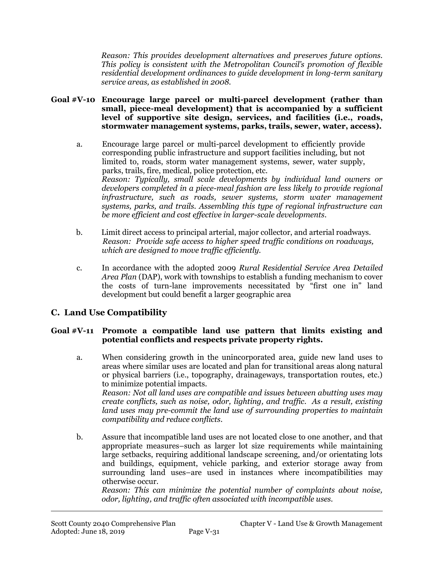*Reason: This provides development alternatives and preserves future options. This policy is consistent with the Metropolitan Council's promotion of flexible residential development ordinances to guide development in long-term sanitary service areas, as established in 2008.*

#### **Goal #V-10 Encourage large parcel or multi-parcel development (rather than small, piece-meal development) that is accompanied by a sufficient level of supportive site design, services, and facilities (i.e., roads, stormwater management systems, parks, trails, sewer, water, access).**

- a. Encourage large parcel or multi-parcel development to efficiently provide corresponding public infrastructure and support facilities including, but not limited to, roads, storm water management systems, sewer, water supply, parks, trails, fire, medical, police protection, etc. *Reason: Typically, small scale developments by individual land owners or developers completed in a piece-meal fashion are less likely to provide regional infrastructure, such as roads, sewer systems, storm water management systems, parks, and trails. Assembling this type of regional infrastructure can be more efficient and cost effective in larger-scale developments.*
- b. Limit direct access to principal arterial, major collector, and arterial roadways.  *Reason: Provide safe access to higher speed traffic conditions on roadways, which are designed to move traffic efficiently.*
- c. In accordance with the adopted 2009 *Rural Residential Service Area Detailed Area Plan* (DAP), work with townships to establish a funding mechanism to cover the costs of turn-lane improvements necessitated by "first one in" land development but could benefit a larger geographic area

# **C. Land Use Compatibility**

### **Goal #V-11 Promote a compatible land use pattern that limits existing and potential conflicts and respects private property rights.**

- a. When considering growth in the unincorporated area, guide new land uses to areas where similar uses are located and plan for transitional areas along natural or physical barriers (i.e., topography, drainageways, transportation routes, etc.) to minimize potential impacts. *Reason: Not all land uses are compatible and issues between abutting uses may create conflicts, such as noise, odor, lighting, and traffic. As a result, existing land uses may pre-commit the land use of surrounding properties to maintain compatibility and reduce conflicts.*
- b. Assure that incompatible land uses are not located close to one another, and that appropriate measures–such as larger lot size requirements while maintaining large setbacks, requiring additional landscape screening, and/or orientating lots and buildings, equipment, vehicle parking, and exterior storage away from surrounding land uses–are used in instances where incompatibilities may otherwise occur.

*Reason: This can minimize the potential number of complaints about noise, odor, lighting, and traffic often associated with incompatible uses.*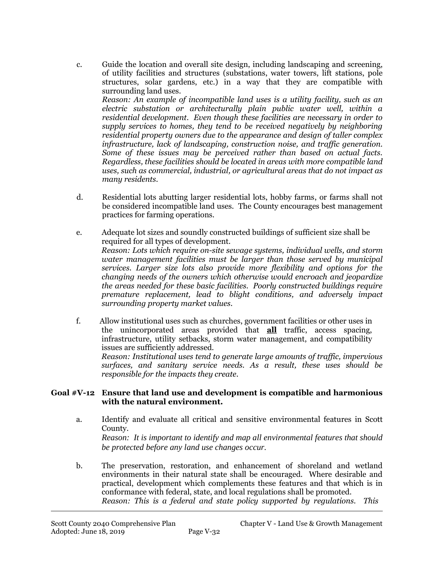- c. Guide the location and overall site design, including landscaping and screening, of utility facilities and structures (substations, water towers, lift stations, pole structures, solar gardens, etc.) in a way that they are compatible with surrounding land uses. *Reason: An example of incompatible land uses is a utility facility, such as an electric substation or architecturally plain public water well, within a residential development. Even though these facilities are necessary in order to supply services to homes, they tend to be received negatively by neighboring residential property owners due to the appearance and design of taller complex infrastructure, lack of landscaping, construction noise, and traffic generation. Some of these issues may be perceived rather than based on actual facts. Regardless, these facilities should be located in areas with more compatible land uses, such as commercial, industrial, or agricultural areas that do not impact as many residents.*
- d. Residential lots abutting larger residential lots, hobby farms, or farms shall not be considered incompatible land uses. The County encourages best management practices for farming operations.
- e. Adequate lot sizes and soundly constructed buildings of sufficient size shall be required for all types of development. *Reason: Lots which require on-site sewage systems, individual wells, and storm water management facilities must be larger than those served by municipal services. Larger size lots also provide more flexibility and options for the changing needs of the owners which otherwise would encroach and jeopardize the areas needed for these basic facilities. Poorly constructed buildings require premature replacement, lead to blight conditions, and adversely impact surrounding property market values.*
- f. Allow institutional uses such as churches, government facilities or other uses in the unincorporated areas provided that **all** traffic, access spacing, infrastructure, utility setbacks, storm water management, and compatibility issues are sufficiently addressed. *Reason: Institutional uses tend to generate large amounts of traffic, impervious surfaces, and sanitary service needs. As a result, these uses should be responsible for the impacts they create.*

### **Goal #V-12 Ensure that land use and development is compatible and harmonious with the natural environment.**

- a. Identify and evaluate all critical and sensitive environmental features in Scott County. *Reason: It is important to identify and map all environmental features that should be protected before any land use changes occur.*
- b. The preservation, restoration, and enhancement of shoreland and wetland environments in their natural state shall be encouraged. Where desirable and practical, development which complements these features and that which is in conformance with federal, state, and local regulations shall be promoted. *Reason: This is a federal and state policy supported by regulations. This*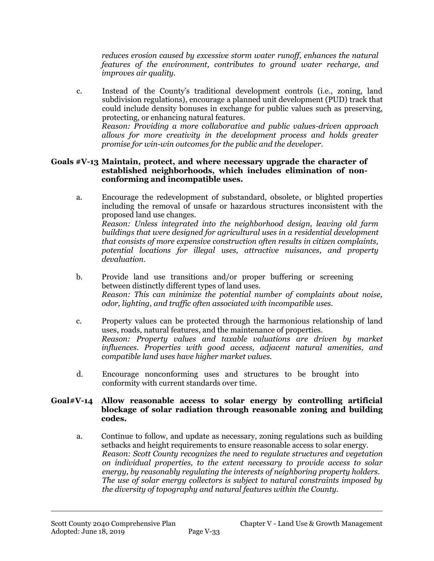*reduces erosion caused by excessive storm water runoff, enhances the natural features of the environment, contributes to ground water recharge, and improves air quality.*

c. Instead of the County's traditional development controls (i.e., zoning, land subdivision regulations), encourage a planned unit development (PUD) track that could include density bonuses in exchange for public values such as preserving, protecting, or enhancing natural features. *Reason: Providing a more collaborative and public values-driven approach allows for more creativity in the development process and holds greater* 

*promise for win-win outcomes for the public and the developer.* 

### **Goals #V-13 Maintain, protect, and where necessary upgrade the character of established neighborhoods, which includes elimination of nonconforming and incompatible uses.**

- a. Encourage the redevelopment of substandard, obsolete, or blighted properties including the removal of unsafe or hazardous structures inconsistent with the proposed land use changes. *Reason: Unless integrated into the neighborhood design, leaving old farm buildings that were designed for agricultural uses in a residential development that consists of more expensive construction often results in citizen complaints, potential locations for illegal uses, attractive nuisances, and property devaluation.*
- b. Provide land use transitions and/or proper buffering or screening between distinctly different types of land uses. *Reason: This can minimize the potential number of complaints about noise, odor, lighting, and traffic often associated with incompatible uses.*
- c. Property values can be protected through the harmonious relationship of land uses, roads, natural features, and the maintenance of properties. *Reason: Property values and taxable valuations are driven by market influences. Properties with good access, adjacent natural amenities, and compatible land uses have higher market values.*
- d. Encourage nonconforming uses and structures to be brought into conformity with current standards over time.

### **Goal#V-14 Allow reasonable access to solar energy by controlling artificial blockage of solar radiation through reasonable zoning and building codes.**

a. Continue to follow, and update as necessary, zoning regulations such as building setbacks and height requirements to ensure reasonable access to solar energy. *Reason: Scott County recognizes the need to regulate structures and vegetation on individual properties, to the extent necessary to provide access to solar energy, by reasonably regulating the interests of neighboring property holders. The use of solar energy collectors is subject to natural constraints imposed by the diversity of topography and natural features within the County.*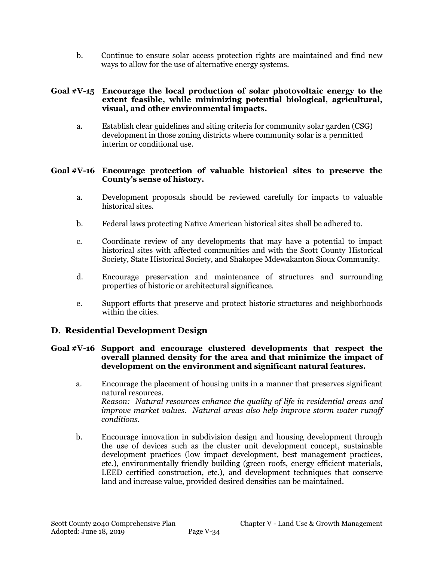b. Continue to ensure solar access protection rights are maintained and find new ways to allow for the use of alternative energy systems.

#### **Goal #V-15 Encourage the local production of solar photovoltaic energy to the extent feasible, while minimizing potential biological, agricultural, visual, and other environmental impacts.**

a. Establish clear guidelines and siting criteria for community solar garden (CSG) development in those zoning districts where community solar is a permitted interim or conditional use.

### **Goal #V-16 Encourage protection of valuable historical sites to preserve the County's sense of history.**

- a. Development proposals should be reviewed carefully for impacts to valuable historical sites.
- b. Federal laws protecting Native American historical sites shall be adhered to.
- c. Coordinate review of any developments that may have a potential to impact historical sites with affected communities and with the Scott County Historical Society, State Historical Society, and Shakopee Mdewakanton Sioux Community.
- d. Encourage preservation and maintenance of structures and surrounding properties of historic or architectural significance.
- e. Support efforts that preserve and protect historic structures and neighborhoods within the cities.

### **D. Residential Development Design**

#### **Goal #V-16 Support and encourage clustered developments that respect the overall planned density for the area and that minimize the impact of development on the environment and significant natural features.**

- a. Encourage the placement of housing units in a manner that preserves significant natural resources. *Reason: Natural resources enhance the quality of life in residential areas and improve market values. Natural areas also help improve storm water runoff conditions.*
- b. Encourage innovation in subdivision design and housing development through the use of devices such as the cluster unit development concept, sustainable development practices (low impact development, best management practices, etc.), environmentally friendly building (green roofs, energy efficient materials, LEED certified construction, etc.), and development techniques that conserve land and increase value, provided desired densities can be maintained.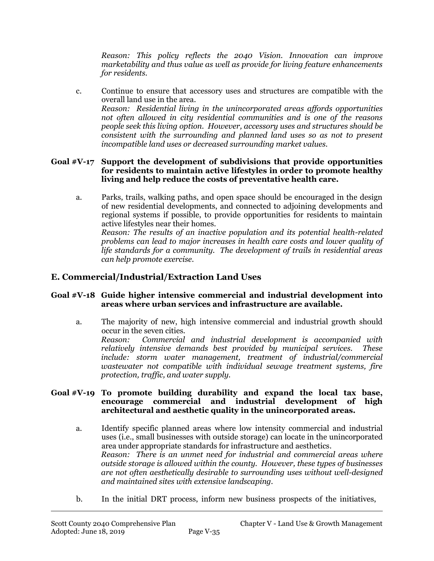*Reason: This policy reflects the 2040 Vision. Innovation can improve marketability and thus value as well as provide for living feature enhancements for residents.*

c. Continue to ensure that accessory uses and structures are compatible with the overall land use in the area. *Reason: Residential living in the unincorporated areas affords opportunities not often allowed in city residential communities and is one of the reasons people seek this living option. However, accessory uses and structures should be consistent with the surrounding and planned land uses so as not to present incompatible land uses or decreased surrounding market values.*

### **Goal #V-17 Support the development of subdivisions that provide opportunities for residents to maintain active lifestyles in order to promote healthy living and help reduce the costs of preventative health care.**

a. Parks, trails, walking paths, and open space should be encouraged in the design of new residential developments, and connected to adjoining developments and regional systems if possible, to provide opportunities for residents to maintain active lifestyles near their homes.

*Reason: The results of an inactive population and its potential health-related problems can lead to major increases in health care costs and lower quality of life standards for a community. The development of trails in residential areas can help promote exercise.*

## **E. Commercial/Industrial/Extraction Land Uses**

### **Goal #V-18 Guide higher intensive commercial and industrial development into areas where urban services and infrastructure are available.**

a. The majority of new, high intensive commercial and industrial growth should occur in the seven cities. *Reason: Commercial and industrial development is accompanied with relatively intensive demands best provided by municipal services. These include: storm water management, treatment of industrial/commercial wastewater not compatible with individual sewage treatment systems, fire protection, traffic, and water supply.*

#### **Goal #V-19 To promote building durability and expand the local tax base, encourage commercial and industrial development of high architectural and aesthetic quality in the unincorporated areas.**

- a. Identify specific planned areas where low intensity commercial and industrial uses (i.e., small businesses with outside storage) can locate in the unincorporated area under appropriate standards for infrastructure and aesthetics. *Reason: There is an unmet need for industrial and commercial areas where outside storage is allowed within the county. However, these types of businesses are not often aesthetically desirable to surrounding uses without well-designed and maintained sites with extensive landscaping.*
- b. In the initial DRT process, inform new business prospects of the initiatives,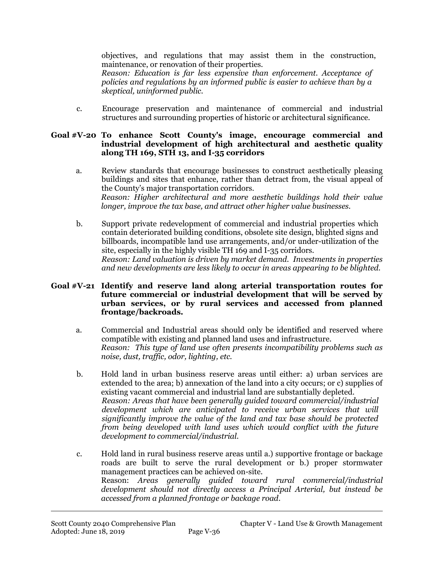objectives, and regulations that may assist them in the construction, maintenance, or renovation of their properties. *Reason: Education is far less expensive than enforcement. Acceptance of policies and regulations by an informed public is easier to achieve than by a skeptical, uninformed public.* 

c. Encourage preservation and maintenance of commercial and industrial structures and surrounding properties of historic or architectural significance.

### **Goal #V-20 To enhance Scott County's image, encourage commercial and industrial development of high architectural and aesthetic quality along TH 169, STH 13, and I-35 corridors**

- a. Review standards that encourage businesses to construct aesthetically pleasing buildings and sites that enhance, rather than detract from, the visual appeal of the County's major transportation corridors. *Reason: Higher architectural and more aesthetic buildings hold their value longer, improve the tax base, and attract other higher value businesses.*
- b. Support private redevelopment of commercial and industrial properties which contain deteriorated building conditions, obsolete site design, blighted signs and billboards, incompatible land use arrangements, and/or under-utilization of the site, especially in the highly visible TH 169 and I-35 corridors. *Reason: Land valuation is driven by market demand. Investments in properties and new developments are less likely to occur in areas appearing to be blighted.*

#### **Goal #V-21 Identify and reserve land along arterial transportation routes for future commercial or industrial development that will be served by urban services, or by rural services and accessed from planned frontage/backroads.**

- a. Commercial and Industrial areas should only be identified and reserved where compatible with existing and planned land uses and infrastructure. *Reason: This type of land use often presents incompatibility problems such as noise, dust, traffic, odor, lighting, etc.*
- b. Hold land in urban business reserve areas until either: a) urban services are extended to the area; b) annexation of the land into a city occurs; or c) supplies of existing vacant commercial and industrial land are substantially depleted. *Reason: Areas that have been generally guided toward commercial/industrial development which are anticipated to receive urban services that will significantly improve the value of the land and tax base should be protected from being developed with land uses which would conflict with the future development to commercial/industrial.*
- c. Hold land in rural business reserve areas until a.) supportive frontage or backage roads are built to serve the rural development or b.) proper stormwater management practices can be achieved on-site. Reason: *Areas generally guided toward rural commercial/industrial development should not directly access a Principal Arterial, but instead be accessed from a planned frontage or backage road*.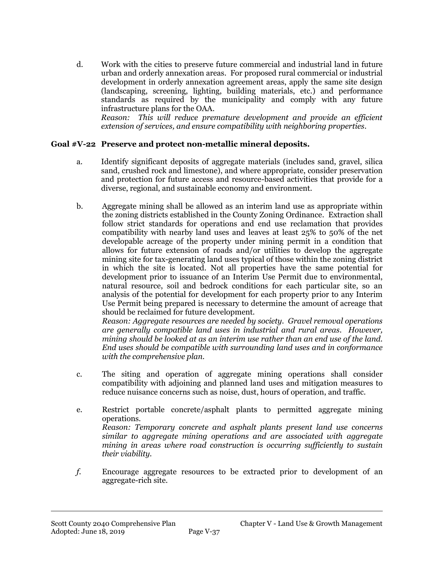d. Work with the cities to preserve future commercial and industrial land in future urban and orderly annexation areas. For proposed rural commercial or industrial development in orderly annexation agreement areas, apply the same site design (landscaping, screening, lighting, building materials, etc.) and performance standards as required by the municipality and comply with any future infrastructure plans for the OAA.

*Reason: This will reduce premature development and provide an efficient extension of services, and ensure compatibility with neighboring properties.*

### **Goal #V-22 Preserve and protect non-metallic mineral deposits.**

- a. Identify significant deposits of aggregate materials (includes sand, gravel, silica sand, crushed rock and limestone), and where appropriate, consider preservation and protection for future access and resource-based activities that provide for a diverse, regional, and sustainable economy and environment.
- b. Aggregate mining shall be allowed as an interim land use as appropriate within the zoning districts established in the County Zoning Ordinance. Extraction shall follow strict standards for operations and end use reclamation that provides compatibility with nearby land uses and leaves at least 25% to 50% of the net developable acreage of the property under mining permit in a condition that allows for future extension of roads and/or utilities to develop the aggregate mining site for tax-generating land uses typical of those within the zoning district in which the site is located. Not all properties have the same potential for development prior to issuance of an Interim Use Permit due to environmental, natural resource, soil and bedrock conditions for each particular site, so an analysis of the potential for development for each property prior to any Interim Use Permit being prepared is necessary to determine the amount of acreage that should be reclaimed for future development.

*Reason: Aggregate resources are needed by society. Gravel removal operations are generally compatible land uses in industrial and rural areas. However, mining should be looked at as an interim use rather than an end use of the land. End uses should be compatible with surrounding land uses and in conformance with the comprehensive plan.* 

- c. The siting and operation of aggregate mining operations shall consider compatibility with adjoining and planned land uses and mitigation measures to reduce nuisance concerns such as noise, dust, hours of operation, and traffic.
- e. Restrict portable concrete/asphalt plants to permitted aggregate mining operations. *Reason: Temporary concrete and asphalt plants present land use concerns similar to aggregate mining operations and are associated with aggregate mining in areas where road construction is occurring sufficiently to sustain their viability.*
- *f.* Encourage aggregate resources to be extracted prior to development of an aggregate-rich site.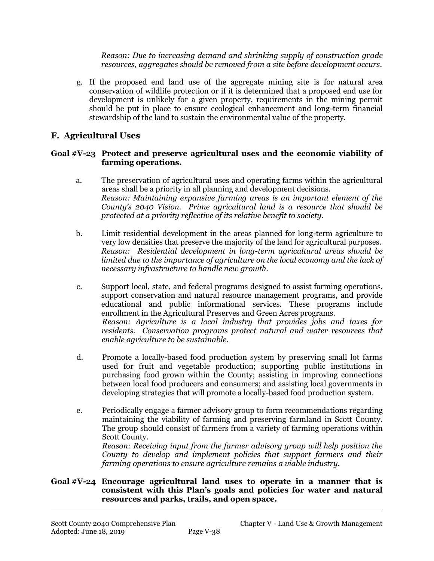*Reason: Due to increasing demand and shrinking supply of construction grade resources, aggregates should be removed from a site before development occurs.* 

g. If the proposed end land use of the aggregate mining site is for natural area conservation of wildlife protection or if it is determined that a proposed end use for development is unlikely for a given property, requirements in the mining permit should be put in place to ensure ecological enhancement and long-term financial stewardship of the land to sustain the environmental value of the property.

### **F. Agricultural Uses**

### **Goal #V-23 Protect and preserve agricultural uses and the economic viability of farming operations.**

- a. The preservation of agricultural uses and operating farms within the agricultural areas shall be a priority in all planning and development decisions. *Reason: Maintaining expansive farming areas is an important element of the County's 2040 Vision. Prime agricultural land is a resource that should be protected at a priority reflective of its relative benefit to society.*
- b. Limit residential development in the areas planned for long-term agriculture to very low densities that preserve the majority of the land for agricultural purposes. *Reason: Residential development in long-term agricultural areas should be limited due to the importance of agriculture on the local economy and the lack of necessary infrastructure to handle new growth.*
- c. Support local, state, and federal programs designed to assist farming operations, support conservation and natural resource management programs, and provide educational and public informational services. These programs include enrollment in the Agricultural Preserves and Green Acres programs. *Reason: Agriculture is a local industry that provides jobs and taxes for residents. Conservation programs protect natural and water resources that enable agriculture to be sustainable.*
- d. Promote a locally-based food production system by preserving small lot farms used for fruit and vegetable production; supporting public institutions in purchasing food grown within the County; assisting in improving connections between local food producers and consumers; and assisting local governments in developing strategies that will promote a locally-based food production system.
- e. Periodically engage a farmer advisory group to form recommendations regarding maintaining the viability of farming and preserving farmland in Scott County. The group should consist of farmers from a variety of farming operations within Scott County. *Reason: Receiving input from the farmer advisory group will help position the*

*County to develop and implement policies that support farmers and their farming operations to ensure agriculture remains a viable industry.*

### **Goal #V-24 Encourage agricultural land uses to operate in a manner that is consistent with this Plan's goals and policies for water and natural resources and parks, trails, and open space.**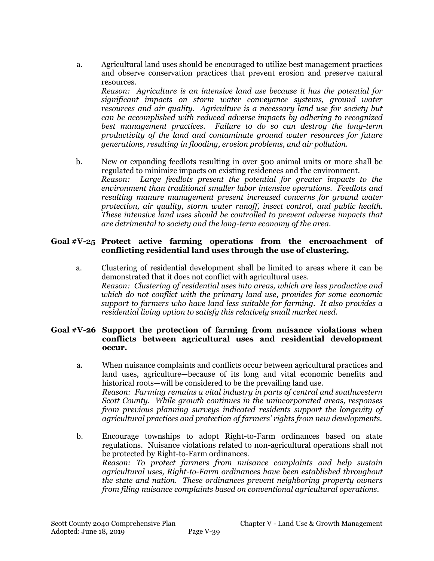a. Agricultural land uses should be encouraged to utilize best management practices and observe conservation practices that prevent erosion and preserve natural resources.

*Reason: Agriculture is an intensive land use because it has the potential for significant impacts on storm water conveyance systems, ground water resources and air quality. Agriculture is a necessary land use for society but can be accomplished with reduced adverse impacts by adhering to recognized best management practices. Failure to do so can destroy the long-term productivity of the land and contaminate ground water resources for future generations, resulting in flooding, erosion problems, and air pollution.*

b. New or expanding feedlots resulting in over 500 animal units or more shall be regulated to minimize impacts on existing residences and the environment. *Reason: Large feedlots present the potential for greater impacts to the environment than traditional smaller labor intensive operations. Feedlots and resulting manure management present increased concerns for ground water protection, air quality, storm water runoff, insect control, and public health. These intensive land uses should be controlled to prevent adverse impacts that are detrimental to society and the long-term economy of the area.*

### **Goal #V-25 Protect active farming operations from the encroachment of conflicting residential land uses through the use of clustering.**

a. Clustering of residential development shall be limited to areas where it can be demonstrated that it does not conflict with agricultural uses. *Reason: Clustering of residential uses into areas, which are less productive and which do not conflict with the primary land use, provides for some economic support to farmers who have land less suitable for farming. It also provides a residential living option to satisfy this relatively small market need.*

#### **Goal #V-26 Support the protection of farming from nuisance violations when conflicts between agricultural uses and residential development occur.**

- a. When nuisance complaints and conflicts occur between agricultural practices and land uses, agriculture—because of its long and vital economic benefits and historical roots—will be considered to be the prevailing land use. *Reason: Farming remains a vital industry in parts of central and southwestern Scott County. While growth continues in the unincorporated areas, responses from previous planning surveys indicated residents support the longevity of agricultural practices and protection of farmers' rights from new developments.*
- b. Encourage townships to adopt Right-to-Farm ordinances based on state regulations. Nuisance violations related to non-agricultural operations shall not be protected by Right-to-Farm ordinances. *Reason: To protect farmers from nuisance complaints and help sustain agricultural uses, Right-to-Farm ordinances have been established throughout the state and nation. These ordinances prevent neighboring property owners from filing nuisance complaints based on conventional agricultural operations.*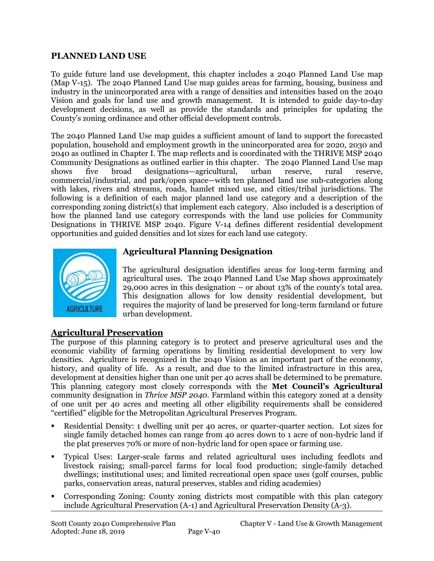### **PLANNED LAND USE**

To guide future land use development, this chapter includes a 2040 Planned Land Use map (Map V-15). The 2040 Planned Land Use map guides areas for farming, housing, business and industry in the unincorporated area with a range of densities and intensities based on the 2040 Vision and goals for land use and growth management. It is intended to guide day-to-day development decisions, as well as provide the standards and principles for updating the County's zoning ordinance and other official development controls.

The 2040 Planned Land Use map guides a sufficient amount of land to support the forecasted population, household and employment growth in the unincorporated area for 2020, 2030 and 2040 as outlined in Chapter I. The map reflects and is coordinated with the THRIVE MSP 2040 Community Designations as outlined earlier in this chapter. The 2040 Planned Land Use map shows five broad designations—agricultural, urban reserve, rural reserve, commercial/industrial, and park/open space—with ten planned land use sub-categories along with lakes, rivers and streams, roads, hamlet mixed use, and cities/tribal jurisdictions. The following is a definition of each major planned land use category and a description of the corresponding zoning district(s) that implement each category. Also included is a description of how the planned land use category corresponds with the land use policies for Community Designations in THRIVE MSP 2040. Figure V-14 defines different residential development opportunities and guided densities and lot sizes for each land use category.



## **Agricultural Planning Designation**

The agricultural designation identifies areas for long-term farming and agricultural uses. The 2040 Planned Land Use Map shows approximately 29,000 acres in this designation – or about 13% of the county's total area. This designation allows for low density residential development, but requires the majority of land be preserved for long-term farmland or future urban development.

### **Agricultural Preservation**

The purpose of this planning category is to protect and preserve agricultural uses and the economic viability of farming operations by limiting residential development to very low densities. Agriculture is recognized in the 2040 Vision as an important part of the economy, history, and quality of life. As a result, and due to the limited infrastructure in this area, development at densities higher than one unit per 40 acres shall be determined to be premature. This planning category most closely corresponds with the **Met Council's Agricultural** community designation in *Thrive MSP 2040*. Farmland within this category zoned at a density of one unit per 40 acres and meeting all other eligibility requirements shall be considered "certified" eligible for the Metropolitan Agricultural Preserves Program.

- Residential Density: 1 dwelling unit per 40 acres, or quarter-quarter section. Lot sizes for single family detached homes can range from 40 acres down to 1 acre of non-hydric land if the plat preserves 70% or more of non-hydric land for open space or farming use.
- Typical Uses: Larger-scale farms and related agricultural uses including feedlots and livestock raising; small-parcel farms for local food production; single-family detached dwellings; institutional uses; and limited recreational open space uses (golf courses, public parks, conservation areas, natural preserves, stables and riding academies)
- Corresponding Zoning: County zoning districts most compatible with this plan category include Agricultural Preservation (A-1) and Agricultural Preservation Density (A-3).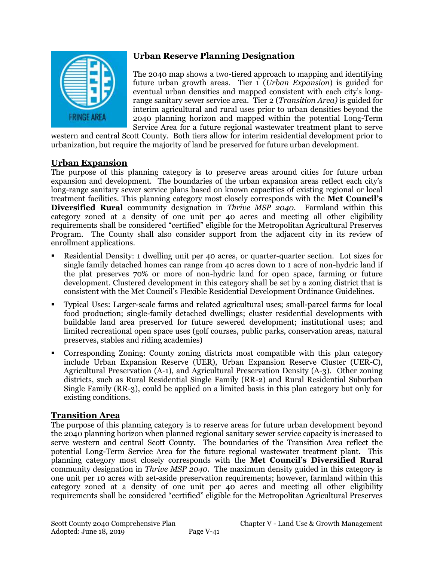

# **Urban Reserve Planning Designation**

The 2040 map shows a two-tiered approach to mapping and identifying future urban growth areas. Tier 1 (*Urban Expansion*) is guided for eventual urban densities and mapped consistent with each city's longrange sanitary sewer service area. Tier 2 (*Transition Area)* is guided for interim agricultural and rural uses prior to urban densities beyond the 2040 planning horizon and mapped within the potential Long-Term Service Area for a future regional wastewater treatment plant to serve

western and central Scott County. Both tiers allow for interim residential development prior to urbanization, but require the majority of land be preserved for future urban development.

### **Urban Expansion**

The purpose of this planning category is to preserve areas around cities for future urban expansion and development. The boundaries of the urban expansion areas reflect each city's long-range sanitary sewer service plans based on known capacities of existing regional or local treatment facilities. This planning category most closely corresponds with the **Met Council's Diversified Rural** community designation in *Thrive MSP 2040*. Farmland within this category zoned at a density of one unit per 40 acres and meeting all other eligibility requirements shall be considered "certified" eligible for the Metropolitan Agricultural Preserves Program. The County shall also consider support from the adjacent city in its review of enrollment applications.

- Residential Density: 1 dwelling unit per 40 acres, or quarter-quarter section. Lot sizes for single family detached homes can range from 40 acres down to 1 acre of non-hydric land if the plat preserves 70% or more of non-hydric land for open space, farming or future development. Clustered development in this category shall be set by a zoning district that is consistent with the Met Council's Flexible Residential Development Ordinance Guidelines.
- Typical Uses: Larger-scale farms and related agricultural uses; small-parcel farms for local food production; single-family detached dwellings; cluster residential developments with buildable land area preserved for future sewered development; institutional uses; and limited recreational open space uses (golf courses, public parks, conservation areas, natural preserves, stables and riding academies)
- Corresponding Zoning: County zoning districts most compatible with this plan category include Urban Expansion Reserve (UER), Urban Expansion Reserve Cluster (UER-C), Agricultural Preservation (A-1), and Agricultural Preservation Density (A-3). Other zoning districts, such as Rural Residential Single Family (RR-2) and Rural Residential Suburban Single Family (RR-3), could be applied on a limited basis in this plan category but only for existing conditions.

### **Transition Area**

The purpose of this planning category is to reserve areas for future urban development beyond the 2040 planning horizon when planned regional sanitary sewer service capacity is increased to serve western and central Scott County. The boundaries of the Transition Area reflect the potential Long-Term Service Area for the future regional wastewater treatment plant. This planning category most closely corresponds with the **Met Council's Diversified Rural**  community designation in *Thrive MSP 2040*. The maximum density guided in this category is one unit per 10 acres with set-aside preservation requirements; however, farmland within this category zoned at a density of one unit per 40 acres and meeting all other eligibility requirements shall be considered "certified" eligible for the Metropolitan Agricultural Preserves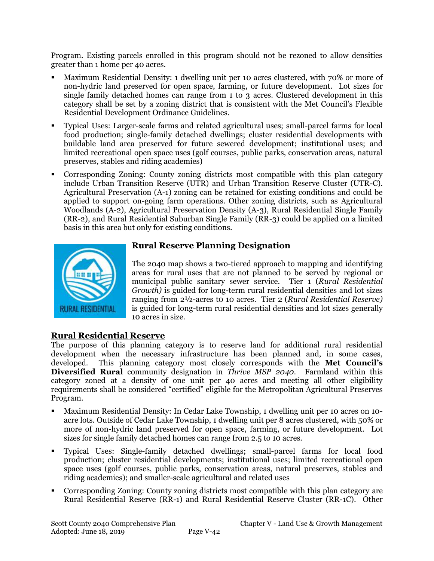Program. Existing parcels enrolled in this program should not be rezoned to allow densities greater than 1 home per 40 acres.

- Maximum Residential Density: 1 dwelling unit per 10 acres clustered, with 70% or more of non-hydric land preserved for open space, farming, or future development. Lot sizes for single family detached homes can range from 1 to 3 acres. Clustered development in this category shall be set by a zoning district that is consistent with the Met Council's Flexible Residential Development Ordinance Guidelines.
- Typical Uses: Larger-scale farms and related agricultural uses; small-parcel farms for local food production; single-family detached dwellings; cluster residential developments with buildable land area preserved for future sewered development; institutional uses; and limited recreational open space uses (golf courses, public parks, conservation areas, natural preserves, stables and riding academies)
- Corresponding Zoning: County zoning districts most compatible with this plan category include Urban Transition Reserve (UTR) and Urban Transition Reserve Cluster (UTR-C). Agricultural Preservation (A-1) zoning can be retained for existing conditions and could be applied to support on-going farm operations. Other zoning districts, such as Agricultural Woodlands (A-2), Agricultural Preservation Density (A-3), Rural Residential Single Family (RR-2), and Rural Residential Suburban Single Family (RR-3) could be applied on a limited basis in this area but only for existing conditions.



## **Rural Reserve Planning Designation**

The 2040 map shows a two-tiered approach to mapping and identifying areas for rural uses that are not planned to be served by regional or municipal public sanitary sewer service. Tier 1 (*Rural Residential Growth)* is guided for long-term rural residential densities and lot sizes ranging from 2½-acres t0 10 acres. Tier 2 (*Rural Residential Reserve)*  is guided for long-term rural residential densities and lot sizes generally 10 acres in size.

### **Rural Residential Reserve**

The purpose of this planning category is to reserve land for additional rural residential development when the necessary infrastructure has been planned and, in some cases, developed. This planning category most closely corresponds with the **Met Council's Diversified Rural** community designation in *Thrive MSP 2040*. Farmland within this category zoned at a density of one unit per 40 acres and meeting all other eligibility requirements shall be considered "certified" eligible for the Metropolitan Agricultural Preserves Program.

- Maximum Residential Density: In Cedar Lake Township, 1 dwelling unit per 10 acres on 10 acre lots. Outside of Cedar Lake Township, 1 dwelling unit per 8 acres clustered, with 50% or more of non-hydric land preserved for open space, farming, or future development. Lot sizes for single family detached homes can range from 2.5 to 10 acres.
- Typical Uses: Single-family detached dwellings; small-parcel farms for local food production; cluster residential developments; institutional uses; limited recreational open space uses (golf courses, public parks, conservation areas, natural preserves, stables and riding academies); and smaller-scale agricultural and related uses
- Corresponding Zoning: County zoning districts most compatible with this plan category are Rural Residential Reserve (RR-1) and Rural Residential Reserve Cluster (RR-1C). Other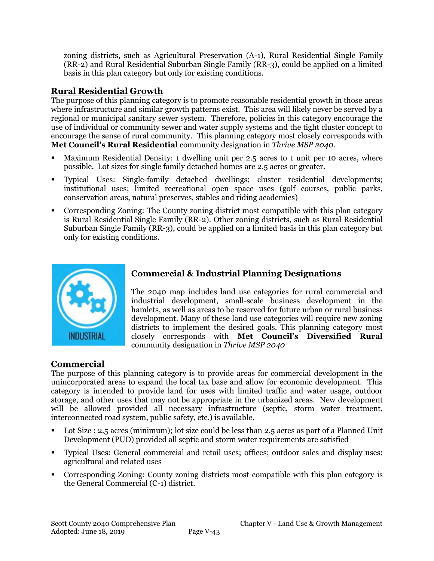zoning districts, such as Agricultural Preservation (A-1), Rural Residential Single Family (RR-2) and Rural Residential Suburban Single Family (RR-3), could be applied on a limited basis in this plan category but only for existing conditions.

# **Rural Residential Growth**

The purpose of this planning category is to promote reasonable residential growth in those areas where infrastructure and similar growth patterns exist. This area will likely never be served by a regional or municipal sanitary sewer system. Therefore, policies in this category encourage the use of individual or community sewer and water supply systems and the tight cluster concept to encourage the sense of rural community. This planning category most closely corresponds with **Met Council's Rural Residential** community designation in *Thrive MSP 2040*.

- Maximum Residential Density: 1 dwelling unit per 2.5 acres to 1 unit per 10 acres, where possible. Lot sizes for single family detached homes are 2.5 acres or greater.
- Typical Uses: Single-family detached dwellings; cluster residential developments; institutional uses; limited recreational open space uses (golf courses, public parks, conservation areas, natural preserves, stables and riding academies)
- Corresponding Zoning: The County zoning district most compatible with this plan category is Rural Residential Single Family (RR-2). Other zoning districts, such as Rural Residential Suburban Single Family (RR-3), could be applied on a limited basis in this plan category but only for existing conditions.



## **Commercial & Industrial Planning Designations**

The 2040 map includes land use categories for rural commercial and industrial development, small-scale business development in the hamlets, as well as areas to be reserved for future urban or rural business development. Many of these land use categories will require new zoning districts to implement the desired goals. This planning category most closely corresponds with **Met Council's Diversified Rural** community designation in *Thrive MSP 2040*

# **Commercial**

The purpose of this planning category is to provide areas for commercial development in the unincorporated areas to expand the local tax base and allow for economic development. This category is intended to provide land for uses with limited traffic and water usage, outdoor storage, and other uses that may not be appropriate in the urbanized areas. New development will be allowed provided all necessary infrastructure (septic, storm water treatment, interconnected road system, public safety, etc.) is available.

- Lot Size : 2.5 acres (minimum); lot size could be less than 2.5 acres as part of a Planned Unit Development (PUD) provided all septic and storm water requirements are satisfied
- Typical Uses: General commercial and retail uses; offices; outdoor sales and display uses; agricultural and related uses
- Corresponding Zoning: County zoning districts most compatible with this plan category is the General Commercial (C-1) district.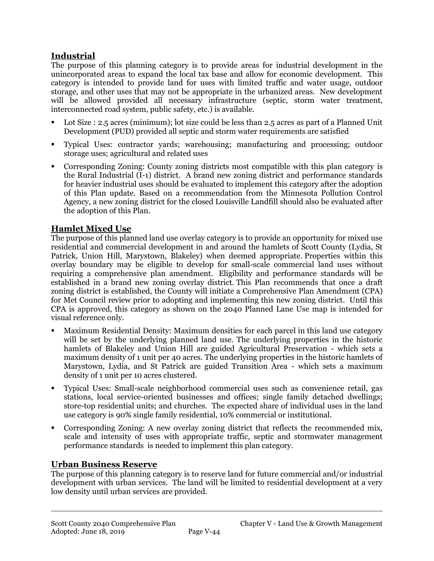# **Industrial**

The purpose of this planning category is to provide areas for industrial development in the unincorporated areas to expand the local tax base and allow for economic development. This category is intended to provide land for uses with limited traffic and water usage, outdoor storage, and other uses that may not be appropriate in the urbanized areas. New development will be allowed provided all necessary infrastructure (septic, storm water treatment, interconnected road system, public safety, etc.) is available.

- Lot Size : 2.5 acres (minimum); lot size could be less than 2.5 acres as part of a Planned Unit Development (PUD) provided all septic and storm water requirements are satisfied
- Typical Uses: contractor yards; warehousing; manufacturing and processing; outdoor storage uses; agricultural and related uses
- Corresponding Zoning: County zoning districts most compatible with this plan category is the Rural Industrial (I-1) district. A brand new zoning district and performance standards for heavier industrial uses should be evaluated to implement this category after the adoption of this Plan update. Based on a recommendation from the Minnesota Pollution Control Agency, a new zoning district for the closed Louisville Landfill should also be evaluated after the adoption of this Plan.

### **Hamlet Mixed Use**

The purpose of this planned land use overlay category is to provide an opportunity for mixed use residential and commercial development in and around the hamlets of Scott County (Lydia, St Patrick, Union Hill, Marystown, Blakeley) when deemed appropriate. Properties within this overlay boundary may be eligible to develop for small-scale commercial land uses without requiring a comprehensive plan amendment. Eligibility and performance standards will be established in a brand new zoning overlay district. This Plan recommends that once a draft zoning district is established, the County will initiate a Comprehensive Plan Amendment (CPA) for Met Council review prior to adopting and implementing this new zoning district. Until this CPA is approved, this category as shown on the 2040 Planned Lane Use map is intended for visual reference only.

- Maximum Residential Density: Maximum densities for each parcel in this land use category will be set by the underlying planned land use. The underlying properties in the historic hamlets of Blakeley and Union Hill are guided Agricultural Preservation - which sets a maximum density of 1 unit per 40 acres. The underlying properties in the historic hamlets of Marystown, Lydia, and St Patrick are guided Transition Area - which sets a maximum density of 1 unit per 10 acres clustered.
- Typical Uses: Small-scale neighborhood commercial uses such as convenience retail, gas stations, local service-oriented businesses and offices; single family detached dwellings; store-top residential units; and churches. The expected share of individual uses in the land use category is 90% single family residential, 10% commercial or institutional.
- Corresponding Zoning: A new overlay zoning district that reflects the recommended mix, scale and intensity of uses with appropriate traffic, septic and stormwater management performance standards is needed to implement this plan category.

### **Urban Business Reserve**

The purpose of this planning category is to reserve land for future commercial and/or industrial development with urban services. The land will be limited to residential development at a very low density until urban services are provided.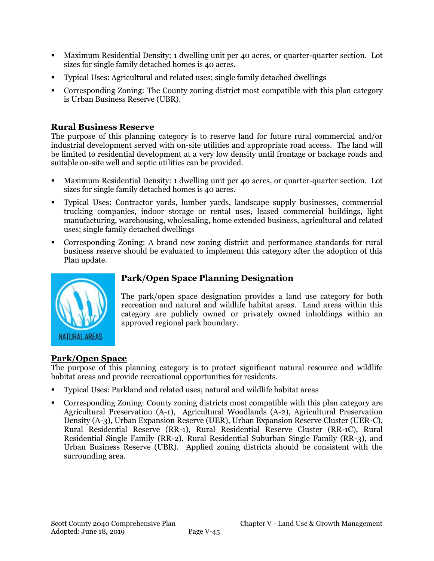- Maximum Residential Density: 1 dwelling unit per 40 acres, or quarter-quarter section. Lot sizes for single family detached homes is 40 acres.
- Typical Uses: Agricultural and related uses; single family detached dwellings
- Corresponding Zoning: The County zoning district most compatible with this plan category is Urban Business Reserve (UBR).

### **Rural Business Reserve**

The purpose of this planning category is to reserve land for future rural commercial and/or industrial development served with on-site utilities and appropriate road access. The land will be limited to residential development at a very low density until frontage or backage roads and suitable on-site well and septic utilities can be provided.

- Maximum Residential Density: 1 dwelling unit per 40 acres, or quarter-quarter section. Lot sizes for single family detached homes is 40 acres.
- Typical Uses: Contractor yards, lumber yards, landscape supply businesses, commercial trucking companies, indoor storage or rental uses, leased commercial buildings, light manufacturing, warehousing, wholesaling, home extended business, agricultural and related uses; single family detached dwellings
- Corresponding Zoning: A brand new zoning district and performance standards for rural business reserve should be evaluated to implement this category after the adoption of this Plan update.



### **Park/Open Space Planning Designation**

The park/open space designation provides a land use category for both recreation and natural and wildlife habitat areas. Land areas within this category are publicly owned or privately owned inholdings within an approved regional park boundary.

# **Park/Open Space**

The purpose of this planning category is to protect significant natural resource and wildlife habitat areas and provide recreational opportunities for residents.

- Typical Uses: Parkland and related uses; natural and wildlife habitat areas
- Corresponding Zoning: County zoning districts most compatible with this plan category are Agricultural Preservation (A-1), Agricultural Woodlands (A-2), Agricultural Preservation Density (A-3), Urban Expansion Reserve (UER), Urban Expansion Reserve Cluster (UER-C), Rural Residential Reserve (RR-1), Rural Residential Reserve Cluster (RR-1C), Rural Residential Single Family (RR-2), Rural Residential Suburban Single Family (RR-3), and Urban Business Reserve (UBR). Applied zoning districts should be consistent with the surrounding area.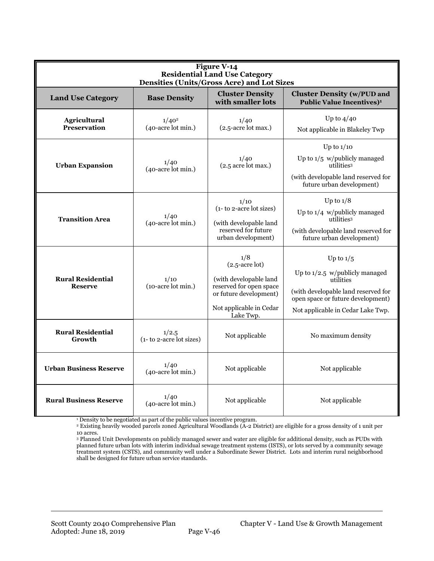| <b>Figure V-14</b><br><b>Residential Land Use Category</b><br><b>Densities (Units/Gross Acre) and Lot Sizes</b> |                                   |                                                                                                                                                 |                                                                                                                                                                               |  |  |
|-----------------------------------------------------------------------------------------------------------------|-----------------------------------|-------------------------------------------------------------------------------------------------------------------------------------------------|-------------------------------------------------------------------------------------------------------------------------------------------------------------------------------|--|--|
| <b>Land Use Category</b>                                                                                        | <b>Base Density</b>               | <b>Cluster Density</b><br>with smaller lots                                                                                                     | <b>Cluster Density (w/PUD and</b><br><b>Public Value Incentives)<sup>1</sup></b>                                                                                              |  |  |
| Agricultural<br>Preservation                                                                                    | $1/40^2$<br>(40-acre lot min.)    | 1/40<br>$(2.5$ -acre lot max.)                                                                                                                  | Up to $4/40$<br>Not applicable in Blakeley Twp                                                                                                                                |  |  |
| <b>Urban Expansion</b>                                                                                          | 1/40<br>(40-acre lot min.)        | 1/40<br>(2.5 acre lot max.)                                                                                                                     | Up to $1/10$<br>Up to $1/5$ w/publicly managed<br>utilities <sup>3</sup><br>(with developable land reserved for<br>future urban development)                                  |  |  |
| <b>Transition Area</b>                                                                                          | 1/40<br>(40-acre lot min.)        | 1/10<br>(1- to 2-acre lot sizes)<br>(with developable land<br>reserved for future<br>urban development)                                         | Up to $1/8$<br>Up to $1/4$ w/publicly managed<br>utilities <sup>3</sup><br>(with developable land reserved for<br>future urban development)                                   |  |  |
| <b>Rural Residential</b><br><b>Reserve</b>                                                                      | 1/10<br>(10-acre lot min.)        | 1/8<br>$(2.5$ -acre lot)<br>(with developable land<br>reserved for open space<br>or future development)<br>Not applicable in Cedar<br>Lake Twp. | Up to $1/5$<br>Up to $1/2.5$ w/publicly managed<br>utilities<br>(with developable land reserved for<br>open space or future development)<br>Not applicable in Cedar Lake Twp. |  |  |
| <b>Rural Residential</b><br>Growth                                                                              | 1/2.5<br>(1- to 2-acre lot sizes) | Not applicable                                                                                                                                  | No maximum density                                                                                                                                                            |  |  |
| <b>Urban Business Reserve</b>                                                                                   | 1/40<br>(40-acre lot min.)        | Not applicable                                                                                                                                  | Not applicable                                                                                                                                                                |  |  |
| <b>Rural Business Reserve</b>                                                                                   | 1/40<br>(40-acre lot min.)        | Not applicable                                                                                                                                  | Not applicable                                                                                                                                                                |  |  |

<sup>1</sup> Density to be negotiated as part of the public values incentive program.

<sup>2</sup> Existing heavily wooded parcels zoned Agricultural Woodlands (A-2 District) are eligible for a gross density of 1 unit per 10 acres.

<sup>3</sup> Planned Unit Developments on publicly managed sewer and water are eligible for additional density, such as PUDs with planned future urban lots with interim individual sewage treatment systems (ISTS), or lots served by a community sewage treatment system (CSTS), and community well under a Subordinate Sewer District. Lots and interim rural neighborhood shall be designed for future urban service standards.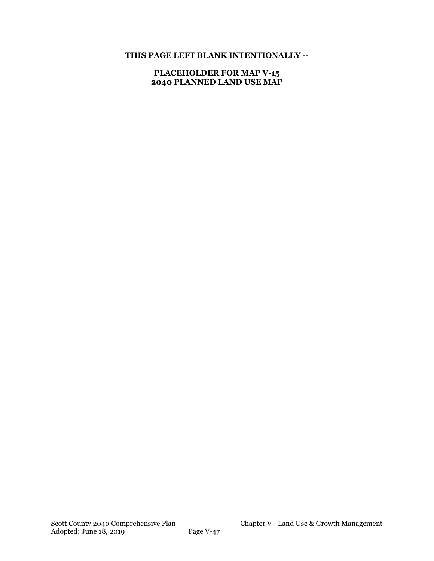**PLACEHOLDER FOR MAP V-15 2040 PLANNED LAND USE MAP**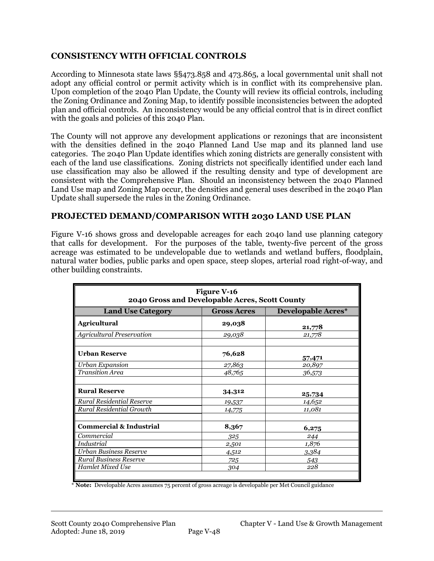### **CONSISTENCY WITH OFFICIAL CONTROLS**

According to Minnesota state laws §§473.858 and 473.865, a local governmental unit shall not adopt any official control or permit activity which is in conflict with its comprehensive plan. Upon completion of the 2040 Plan Update, the County will review its official controls, including the Zoning Ordinance and Zoning Map, to identify possible inconsistencies between the adopted plan and official controls. An inconsistency would be any official control that is in direct conflict with the goals and policies of this 2040 Plan.

The County will not approve any development applications or rezonings that are inconsistent with the densities defined in the 2040 Planned Land Use map and its planned land use categories. The 2040 Plan Update identifies which zoning districts are generally consistent with each of the land use classifications. Zoning districts not specifically identified under each land use classification may also be allowed if the resulting density and type of development are consistent with the Comprehensive Plan. Should an inconsistency between the 2040 Planned Land Use map and Zoning Map occur, the densities and general uses described in the 2040 Plan Update shall supersede the rules in the Zoning Ordinance.

### **PROJECTED DEMAND/COMPARISON WITH 2030 LAND USE PLAN**

Figure V-16 shows gross and developable acreages for each 2040 land use planning category that calls for development. For the purposes of the table, twenty-five percent of the gross acreage was estimated to be undevelopable due to wetlands and wetland buffers, floodplain, natural water bodies, public parks and open space, steep slopes, arterial road right-of-way, and other building constraints.

| <b>Figure V-16</b><br>2040 Gross and Developable Acres, Scott County        |        |        |  |  |  |
|-----------------------------------------------------------------------------|--------|--------|--|--|--|
| <b>Land Use Category</b><br><b>Gross Acres</b><br><b>Developable Acres*</b> |        |        |  |  |  |
| <b>Agricultural</b>                                                         | 29,038 | 21,778 |  |  |  |
| <b>Agricultural Preservation</b>                                            | 29,038 | 21,778 |  |  |  |
| <b>Urban Reserve</b>                                                        | 76,628 | 57,471 |  |  |  |
| Urban Expansion                                                             | 27,863 | 20,897 |  |  |  |
| <b>Transition Area</b>                                                      | 48,765 | 36,573 |  |  |  |
|                                                                             |        |        |  |  |  |
| <b>Rural Reserve</b>                                                        | 34,312 | 25,734 |  |  |  |
| Rural Residential Reserve                                                   | 19,537 | 14,652 |  |  |  |
| Rural Residential Growth                                                    | 14,775 | 11,081 |  |  |  |
|                                                                             |        |        |  |  |  |
| <b>Commercial &amp; Industrial</b>                                          | 8,367  | 6,275  |  |  |  |
| Commercial                                                                  | 325    | 244    |  |  |  |
| Industrial                                                                  | 2,501  | 1,876  |  |  |  |
| Urban Business Reserve                                                      | 4,512  | 3,384  |  |  |  |
| <b>Rural Business Reserve</b>                                               | 725    | 543    |  |  |  |
| <b>Hamlet Mixed Use</b>                                                     | 304    | 228    |  |  |  |
|                                                                             |        |        |  |  |  |

\* **Note:** Developable Acres assumes 75 percent of gross acreage is developable per Met Council guidance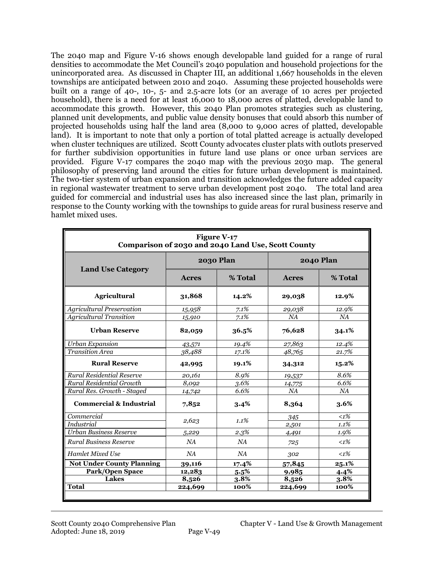The 2040 map and Figure V-16 shows enough developable land guided for a range of rural densities to accommodate the Met Council's 2040 population and household projections for the unincorporated area. As discussed in Chapter III, an additional 1,667 households in the eleven townships are anticipated between 2010 and 2040. Assuming these projected households were built on a range of 40-, 10-, 5- and 2.5-acre lots (or an average of 10 acres per projected household), there is a need for at least 16,000 to 18,000 acres of platted, developable land to accommodate this growth. However, this 2040 Plan promotes strategies such as clustering, planned unit developments, and public value density bonuses that could absorb this number of projected households using half the land area (8,000 to 9,000 acres of platted, developable land). It is important to note that only a portion of total platted acreage is actually developed when cluster techniques are utilized. Scott County advocates cluster plats with outlots preserved for further subdivision opportunities in future land use plans or once urban services are provided. Figure V-17 compares the 2040 map with the previous 2030 map. The general philosophy of preserving land around the cities for future urban development is maintained. The two-tier system of urban expansion and transition acknowledges the future added capacity in regional wastewater treatment to serve urban development post 2040. The total land area guided for commercial and industrial uses has also increased since the last plan, primarily in response to the County working with the townships to guide areas for rural business reserve and hamlet mixed uses.

| <b>Figure V-17</b><br>Comparison of 2030 and 2040 Land Use, Scott County |                  |              |              |               |
|--------------------------------------------------------------------------|------------------|--------------|--------------|---------------|
| <b>Land Use Category</b>                                                 | <b>2030 Plan</b> |              | 2040 Plan    |               |
|                                                                          | <b>Acres</b>     | % Total      | <b>Acres</b> | % Total       |
| <b>Agricultural</b>                                                      | 31,868           | 14.2%        | 29,038       | 12.9%         |
| <b>Agricultural Preservation</b><br><b>Agricultural Transition</b>       | 15,958<br>15,910 | 7.1%<br>7.1% | 29,038<br>NA | 12.9%<br>NA   |
| <b>Urban Reserve</b>                                                     | 82,059           | 36.5%        | 76,628       | 34.1%         |
| Urban Expansion                                                          | 43,571           | 19.4%        | 27,863       | 12.4%         |
| <b>Transition Area</b>                                                   | 38,488           | 17.1%        | 48,765       | 21.7%         |
| <b>Rural Reserve</b>                                                     | 42,995           | 19.1%        | 34,312       | 15.2%         |
| <b>Rural Residential Reserve</b>                                         | 20,161           | 8.9%         | 19,537       | 8.6%          |
| Rural Residential Growth                                                 | 8,092            | 3.6%         | 14,775       | 6.6%          |
| Rural Res. Growth - Staged                                               | 14,742           | 6.6%         | NA           | NA            |
| <b>Commercial &amp; Industrial</b>                                       | 7,852            | 3.4%         | 8,364        | $3.6\%$       |
| Commercial                                                               |                  | 1.1%         | 345          | $\langle 1\%$ |
| Industrial                                                               | 2,623            |              | 2,501        | $1.1\%$       |
| <b>Urban Business Reserve</b>                                            | 5,229            | 2.3%         | 4,491        | 1.9%          |
| <b>Rural Business Reserve</b>                                            | NA               | NA           | 725          | $1\%$         |
| <b>Hamlet Mixed Use</b>                                                  | NA               | NA           | 302          | $\langle 1\%$ |
| <b>Not Under County Planning</b>                                         | 39,116           | 17.4%        | 57,845       | 25.1%         |
| Park/Open Space                                                          | 12,283           | 5.5%         | 9,985        | 4.4%          |
| Lakes                                                                    | 8,526            | 3.8%         | 8,526        | 3.8%          |
| <b>Total</b>                                                             | 224,699          | 100%         | 224,699      | 100%          |
|                                                                          |                  |              |              |               |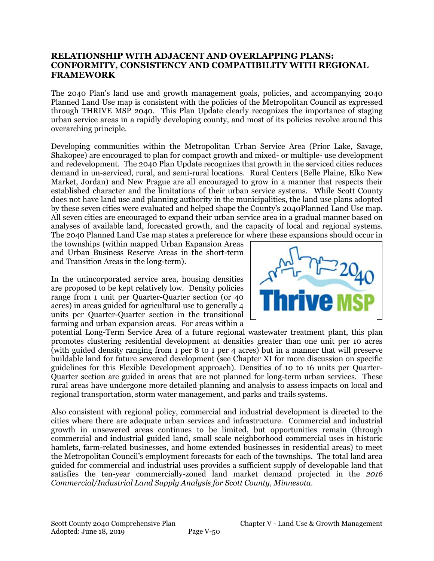### **RELATIONSHIP WITH ADJACENT AND OVERLAPPING PLANS: CONFORMITY, CONSISTENCY AND COMPATIBILITY WITH REGIONAL FRAMEWORK**

The 2040 Plan's land use and growth management goals, policies, and accompanying 2040 Planned Land Use map is consistent with the policies of the Metropolitan Council as expressed through THRIVE MSP 2040. This Plan Update clearly recognizes the importance of staging urban service areas in a rapidly developing county, and most of its policies revolve around this overarching principle.

Developing communities within the Metropolitan Urban Service Area (Prior Lake, Savage, Shakopee) are encouraged to plan for compact growth and mixed- or multiple- use development and redevelopment. The 2040 Plan Update recognizes that growth in the serviced cities reduces demand in un-serviced, rural, and semi-rural locations. Rural Centers (Belle Plaine, Elko New Market, Jordan) and New Prague are all encouraged to grow in a manner that respects their established character and the limitations of their urban service systems. While Scott County does not have land use and planning authority in the municipalities, the land use plans adopted by these seven cities were evaluated and helped shape the County's 2040Planned Land Use map. All seven cities are encouraged to expand their urban service area in a gradual manner based on analyses of available land, forecasted growth, and the capacity of local and regional systems. The 2040 Planned Land Use map states a preference for where these expansions should occur in

the townships (within mapped Urban Expansion Areas and Urban Business Reserve Areas in the short-term and Transition Areas in the long-term).

In the unincorporated service area, housing densities are proposed to be kept relatively low. Density policies range from 1 unit per Quarter-Quarter section (or 40 acres) in areas guided for agricultural use to generally 4 units per Quarter-Quarter section in the transitional farming and urban expansion areas. For areas within a



potential Long-Term Service Area of a future regional wastewater treatment plant, this plan promotes clustering residential development at densities greater than one unit per 10 acres (with guided density ranging from 1 per 8 to 1 per 4 acres) but in a manner that will preserve buildable land for future sewered development (see Chapter XI for more discussion on specific guidelines for this Flexible Development approach). Densities of 10 to 16 units per Quarter-Quarter section are guided in areas that are not planned for long-term urban services. These rural areas have undergone more detailed planning and analysis to assess impacts on local and regional transportation, storm water management, and parks and trails systems.

Also consistent with regional policy, commercial and industrial development is directed to the cities where there are adequate urban services and infrastructure. Commercial and industrial growth in unsewered areas continues to be limited, but opportunities remain (through commercial and industrial guided land, small scale neighborhood commercial uses in historic hamlets, farm-related businesses, and home extended businesses in residential areas) to meet the Metropolitan Council's employment forecasts for each of the townships. The total land area guided for commercial and industrial uses provides a sufficient supply of developable land that satisfies the ten-year commercially-zoned land market demand projected in the *2016 Commercial/Industrial Land Supply Analysis for Scott County, Minnesota.*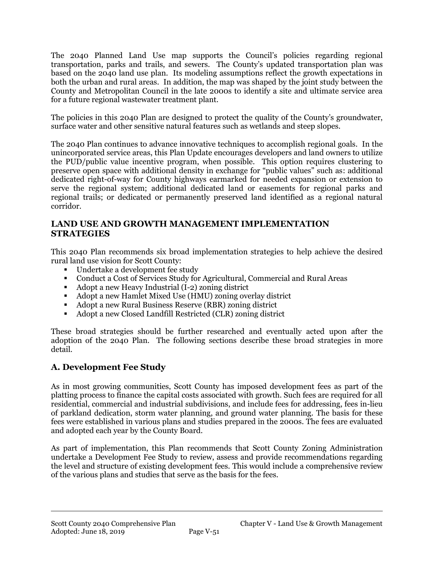The 2040 Planned Land Use map supports the Council's policies regarding regional transportation, parks and trails, and sewers. The County's updated transportation plan was based on the 2040 land use plan. Its modeling assumptions reflect the growth expectations in both the urban and rural areas. In addition, the map was shaped by the joint study between the County and Metropolitan Council in the late 2000s to identify a site and ultimate service area for a future regional wastewater treatment plant.

The policies in this 2040 Plan are designed to protect the quality of the County's groundwater, surface water and other sensitive natural features such as wetlands and steep slopes.

The 2040 Plan continues to advance innovative techniques to accomplish regional goals. In the unincorporated service areas, this Plan Update encourages developers and land owners to utilize the PUD/public value incentive program, when possible. This option requires clustering to preserve open space with additional density in exchange for "public values" such as: additional dedicated right-of-way for County highways earmarked for needed expansion or extension to serve the regional system; additional dedicated land or easements for regional parks and regional trails; or dedicated or permanently preserved land identified as a regional natural corridor.

### **LAND USE AND GROWTH MANAGEMENT IMPLEMENTATION STRATEGIES**

This 2040 Plan recommends six broad implementation strategies to help achieve the desired rural land use vision for Scott County:

- Undertake a development fee study
- Conduct a Cost of Services Study for Agricultural, Commercial and Rural Areas
- Adopt a new Heavy Industrial (I-2) zoning district
- Adopt a new Hamlet Mixed Use (HMU) zoning overlay district
- Adopt a new Rural Business Reserve (RBR) zoning district
- Adopt a new Closed Landfill Restricted (CLR) zoning district

These broad strategies should be further researched and eventually acted upon after the adoption of the 2040 Plan. The following sections describe these broad strategies in more detail.

### **A. Development Fee Study**

As in most growing communities, Scott County has imposed development fees as part of the platting process to finance the capital costs associated with growth. Such fees are required for all residential, commercial and industrial subdivisions, and include fees for addressing, fees in-lieu of parkland dedication, storm water planning, and ground water planning. The basis for these fees were established in various plans and studies prepared in the 2000s. The fees are evaluated and adopted each year by the County Board.

As part of implementation, this Plan recommends that Scott County Zoning Administration undertake a Development Fee Study to review, assess and provide recommendations regarding the level and structure of existing development fees. This would include a comprehensive review of the various plans and studies that serve as the basis for the fees.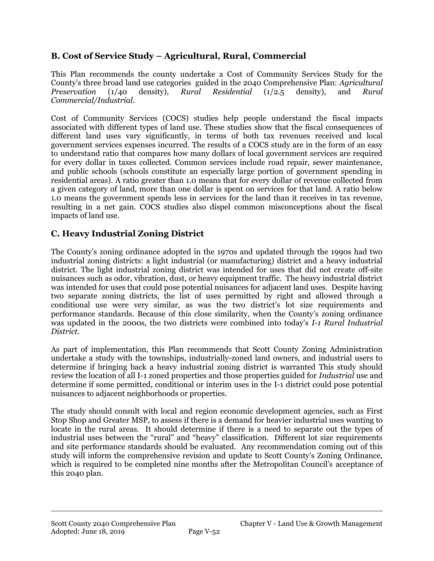# **B. Cost of Service Study – Agricultural, Rural, Commercial**

This Plan recommends the county undertake a Cost of Community Services Study for the County's three broad land use categories guided in the 2040 Comprehensive Plan: *Agricultural Preservation* (1/40 density), *Rural Residential* (1/2.5 density), and *Rural Commercial/Industrial*.

Cost of Community Services (COCS) studies help people understand the fiscal impacts associated with different types of land use. These studies show that the fiscal consequences of different land uses vary significantly, in terms of both tax revenues received and local government services expenses incurred. The results of a COCS study are in the form of an easy to understand ratio that compares how many dollars of local government services are required for every dollar in taxes collected. Common services include road repair, sewer maintenance, and public schools (schools constitute an especially large portion of government spending in residential areas). A ratio greater than 1.0 means that for every dollar of revenue collected from a given category of land, more than one dollar is spent on services for that land. A ratio below 1.0 means the government spends less in services for the land than it receives in tax revenue, resulting in a net gain. COCS studies also dispel common misconceptions about the fiscal impacts of land use.

# **C. Heavy Industrial Zoning District**

The County's zoning ordinance adopted in the 1970s and updated through the 1990s had two industrial zoning districts: a light industrial (or manufacturing) district and a heavy industrial district. The light industrial zoning district was intended for uses that did not create off-site nuisances such as odor, vibration, dust, or heavy equipment traffic. The heavy industrial district was intended for uses that could pose potential nuisances for adjacent land uses. Despite having two separate zoning districts, the list of uses permitted by right and allowed through a conditional use were very similar, as was the two district's lot size requirements and performance standards. Because of this close similarity, when the County's zoning ordinance was updated in the 2000s, the two districts were combined into today's *I-1 Rural Industrial District*.

As part of implementation, this Plan recommends that Scott County Zoning Administration undertake a study with the townships, industrially-zoned land owners, and industrial users to determine if bringing back a heavy industrial zoning district is warranted This study should review the location of all I-1 zoned properties and those properties guided for *Industrial* use and determine if some permitted, conditional or interim uses in the I-1 district could pose potential nuisances to adjacent neighborhoods or properties.

The study should consult with local and region economic development agencies, such as First Stop Shop and Greater MSP, to assess if there is a demand for heavier industrial uses wanting to locate in the rural areas. It should determine if there is a need to separate out the types of industrial uses between the "rural" and "heavy" classification. Different lot size requirements and site performance standards should be evaluated. Any recommendation coming out of this study will inform the comprehensive revision and update to Scott County's Zoning Ordinance, which is required to be completed nine months after the Metropolitan Council's acceptance of this 2040 plan.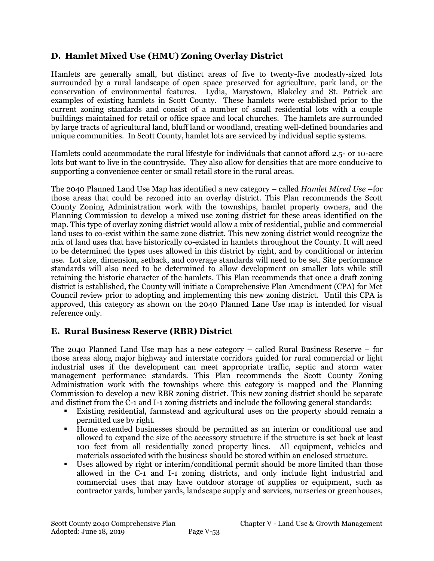# **D. Hamlet Mixed Use (HMU) Zoning Overlay District**

Hamlets are generally small, but distinct areas of five to twenty-five modestly-sized lots surrounded by a rural landscape of open space preserved for agriculture, park land, or the conservation of environmental features. Lydia, Marystown, Blakeley and St. Patrick are examples of existing hamlets in Scott County. These hamlets were established prior to the current zoning standards and consist of a number of small residential lots with a couple buildings maintained for retail or office space and local churches. The hamlets are surrounded by large tracts of agricultural land, bluff land or woodland, creating well-defined boundaries and unique communities. In Scott County, hamlet lots are serviced by individual septic systems.

Hamlets could accommodate the rural lifestyle for individuals that cannot afford 2.5- or 10-acre lots but want to live in the countryside. They also allow for densities that are more conducive to supporting a convenience center or small retail store in the rural areas.

The 2040 Planned Land Use Map has identified a new category – called *Hamlet Mixed Use* –for those areas that could be rezoned into an overlay district. This Plan recommends the Scott County Zoning Administration work with the townships, hamlet property owners, and the Planning Commission to develop a mixed use zoning district for these areas identified on the map. This type of overlay zoning district would allow a mix of residential, public and commercial land uses to co-exist within the same zone district. This new zoning district would recognize the mix of land uses that have historically co-existed in hamlets throughout the County. It will need to be determined the types uses allowed in this district by right, and by conditional or interim use. Lot size, dimension, setback, and coverage standards will need to be set. Site performance standards will also need to be determined to allow development on smaller lots while still retaining the historic character of the hamlets. This Plan recommends that once a draft zoning district is established, the County will initiate a Comprehensive Plan Amendment (CPA) for Met Council review prior to adopting and implementing this new zoning district. Until this CPA is approved, this category as shown on the 2040 Planned Lane Use map is intended for visual reference only.

# **E. Rural Business Reserve (RBR) District**

The 2040 Planned Land Use map has a new category – called Rural Business Reserve – for those areas along major highway and interstate corridors guided for rural commercial or light industrial uses if the development can meet appropriate traffic, septic and storm water management performance standards. This Plan recommends the Scott County Zoning Administration work with the townships where this category is mapped and the Planning Commission to develop a new RBR zoning district. This new zoning district should be separate and distinct from the C-1 and I-1 zoning districts and include the following general standards:

- Existing residential, farmstead and agricultural uses on the property should remain a permitted use by right.
- Home extended businesses should be permitted as an interim or conditional use and allowed to expand the size of the accessory structure if the structure is set back at least 100 feet from all residentially zoned property lines. All equipment, vehicles and materials associated with the business should be stored within an enclosed structure.
- Uses allowed by right or interim/conditional permit should be more limited than those allowed in the C-1 and I-1 zoning districts, and only include light industrial and commercial uses that may have outdoor storage of supplies or equipment, such as contractor yards, lumber yards, landscape supply and services, nurseries or greenhouses,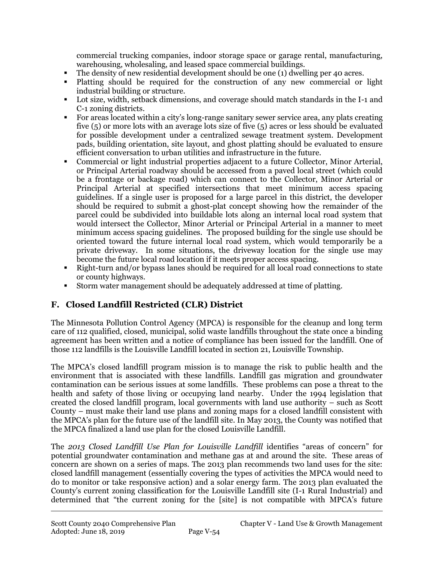commercial trucking companies, indoor storage space or garage rental, manufacturing, warehousing, wholesaling, and leased space commercial buildings.

- The density of new residential development should be one (1) dwelling per 40 acres.
- Platting should be required for the construction of any new commercial or light industrial building or structure.
- Lot size, width, setback dimensions, and coverage should match standards in the I-1 and C-1 zoning districts.
- For areas located within a city's long-range sanitary sewer service area, any plats creating five (5) or more lots with an average lots size of five (5) acres or less should be evaluated for possible development under a centralized sewage treatment system. Development pads, building orientation, site layout, and ghost platting should be evaluated to ensure efficient conversation to urban utilities and infrastructure in the future.
- Commercial or light industrial properties adjacent to a future Collector, Minor Arterial, or Principal Arterial roadway should be accessed from a paved local street (which could be a frontage or backage road) which can connect to the Collector, Minor Arterial or Principal Arterial at specified intersections that meet minimum access spacing guidelines. If a single user is proposed for a large parcel in this district, the developer should be required to submit a ghost-plat concept showing how the remainder of the parcel could be subdivided into buildable lots along an internal local road system that would intersect the Collector, Minor Arterial or Principal Arterial in a manner to meet minimum access spacing guidelines. The proposed building for the single use should be oriented toward the future internal local road system, which would temporarily be a private driveway. In some situations, the driveway location for the single use may become the future local road location if it meets proper access spacing.
- Right-turn and/or bypass lanes should be required for all local road connections to state or county highways.
- Storm water management should be adequately addressed at time of platting.

# **F. Closed Landfill Restricted (CLR) District**

The Minnesota Pollution Control Agency (MPCA) is responsible for the cleanup and long term care of 112 qualified, closed, municipal, solid waste landfills throughout the state once a binding agreement has been written and a notice of compliance has been issued for the landfill. One of those 112 landfills is the Louisville Landfill located in section 21, Louisville Township.

The MPCA's closed landfill program mission is to manage the risk to public health and the environment that is associated with these landfills. Landfill gas migration and groundwater contamination can be serious issues at some landfills. These problems can pose a threat to the health and safety of those living or occupying land nearby. Under the 1994 legislation that created the closed landfill program, local governments with land use authority – such as Scott County – must make their land use plans and zoning maps for a closed landfill consistent with the MPCA's plan for the future use of the landfill site. In May 2013, the County was notified that the MPCA finalized a land use plan for the closed Louisville Landfill.

The *2013 Closed Landfill Use Plan for Louisville Landfill* identifies "areas of concern" for potential groundwater contamination and methane gas at and around the site. These areas of concern are shown on a series of maps. The 2013 plan recommends two land uses for the site: closed landfill management (essentially covering the types of activities the MPCA would need to do to monitor or take responsive action) and a solar energy farm. The 2013 plan evaluated the County's current zoning classification for the Louisville Landfill site (I-1 Rural Industrial) and determined that "the current zoning for the [site] is not compatible with MPCA's future